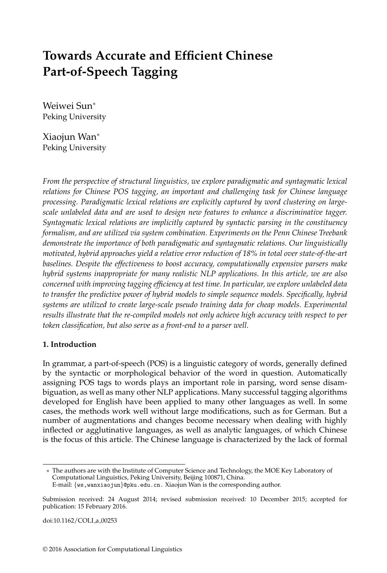# **Towards Accurate and Efficient Chinese Part-of-Speech Tagging**

Weiwei Sun<sup>∗</sup> Peking University

Xiaojun Wan<sup>∗</sup> Peking University

*From the perspective of structural linguistics, we explore paradigmatic and syntagmatic lexical relations for Chinese POS tagging, an important and challenging task for Chinese language processing. Paradigmatic lexical relations are explicitly captured by word clustering on largescale unlabeled data and are used to design new features to enhance a discriminative tagger. Syntagmatic lexical relations are implicitly captured by syntactic parsing in the constituency formalism, and are utilized via system combination. Experiments on the Penn Chinese Treebank demonstrate the importance of both paradigmatic and syntagmatic relations. Our linguistically motivated, hybrid approaches yield a relative error reduction of 18% in total over state-of-the-art baselines. Despite the effectiveness to boost accuracy, computationally expensive parsers make hybrid systems inappropriate for many realistic NLP applications. In this article, we are also concerned with improving tagging efficiency at test time. In particular, we explore unlabeled data to transfer the predictive power of hybrid models to simple sequence models. Specifically, hybrid systems are utilized to create large-scale pseudo training data for cheap models. Experimental results illustrate that the re-compiled models not only achieve high accuracy with respect to per token classification, but also serve as a front-end to a parser well.*

#### **1. Introduction**

In grammar, a part-of-speech (POS) is a linguistic category of words, generally defined by the syntactic or morphological behavior of the word in question. Automatically assigning POS tags to words plays an important role in parsing, word sense disambiguation, as well as many other NLP applications. Many successful tagging algorithms developed for English have been applied to many other languages as well. In some cases, the methods work well without large modifications, such as for German. But a number of augmentations and changes become necessary when dealing with highly inflected or agglutinative languages, as well as analytic languages, of which Chinese is the focus of this article. The Chinese language is characterized by the lack of formal

doi:10.1162/COLI a 00253

<sup>∗</sup> The authors are with the Institute of Computer Science and Technology, the MOE Key Laboratory of Computational Linguistics, Peking University, Beijing 100871, China.

E-mail: {ws,wanxiaojun}@pku.edu.cn. Xiaojun Wan is the corresponding author.

Submission received: 24 August 2014; revised submission received: 10 December 2015; accepted for publication: 15 February 2016.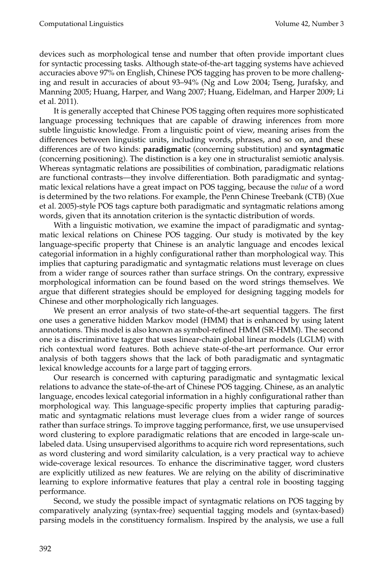devices such as morphological tense and number that often provide important clues for syntactic processing tasks. Although state-of-the-art tagging systems have achieved accuracies above 97% on English, Chinese POS tagging has proven to be more challenging and result in accuracies of about 93–94% (Ng and Low 2004; Tseng, Jurafsky, and Manning 2005; Huang, Harper, and Wang 2007; Huang, Eidelman, and Harper 2009; Li et al. 2011).

It is generally accepted that Chinese POS tagging often requires more sophisticated language processing techniques that are capable of drawing inferences from more subtle linguistic knowledge. From a linguistic point of view, meaning arises from the differences between linguistic units, including words, phrases, and so on, and these differences are of two kinds: **paradigmatic** (concerning substitution) and **syntagmatic** (concerning positioning). The distinction is a key one in structuralist semiotic analysis. Whereas syntagmatic relations are possibilities of combination, paradigmatic relations are functional contrasts—they involve differentiation. Both paradigmatic and syntagmatic lexical relations have a great impact on POS tagging, because the *value* of a word is determined by the two relations. For example, the Penn Chinese Treebank (CTB) (Xue et al. 2005)-style POS tags capture both paradigmatic and syntagmatic relations among words, given that its annotation criterion is the syntactic distribution of words.

With a linguistic motivation, we examine the impact of paradigmatic and syntagmatic lexical relations on Chinese POS tagging. Our study is motivated by the key language-specific property that Chinese is an analytic language and encodes lexical categorial information in a highly configurational rather than morphological way. This implies that capturing paradigmatic and syntagmatic relations must leverage on clues from a wider range of sources rather than surface strings. On the contrary, expressive morphological information can be found based on the word strings themselves. We argue that different strategies should be employed for designing tagging models for Chinese and other morphologically rich languages.

We present an error analysis of two state-of-the-art sequential taggers. The first one uses a generative hidden Markov model (HMM) that is enhanced by using latent annotations. This model is also known as symbol-refined HMM (SR-HMM). The second one is a discriminative tagger that uses linear-chain global linear models (LGLM) with rich contextual word features. Both achieve state-of-the-art performance. Our error analysis of both taggers shows that the lack of both paradigmatic and syntagmatic lexical knowledge accounts for a large part of tagging errors.

Our research is concerned with capturing paradigmatic and syntagmatic lexical relations to advance the state-of-the-art of Chinese POS tagging. Chinese, as an analytic language, encodes lexical categorial information in a highly configurational rather than morphological way. This language-specific property implies that capturing paradigmatic and syntagmatic relations must leverage clues from a wider range of sources rather than surface strings. To improve tagging performance, first, we use unsupervised word clustering to explore paradigmatic relations that are encoded in large-scale unlabeled data. Using unsupervised algorithms to acquire rich word representations, such as word clustering and word similarity calculation, is a very practical way to achieve wide-coverage lexical resources. To enhance the discriminative tagger, word clusters are explicitly utilized as new features. We are relying on the ability of discriminative learning to explore informative features that play a central role in boosting tagging performance.

Second, we study the possible impact of syntagmatic relations on POS tagging by comparatively analyzing (syntax-free) sequential tagging models and (syntax-based) parsing models in the constituency formalism. Inspired by the analysis, we use a full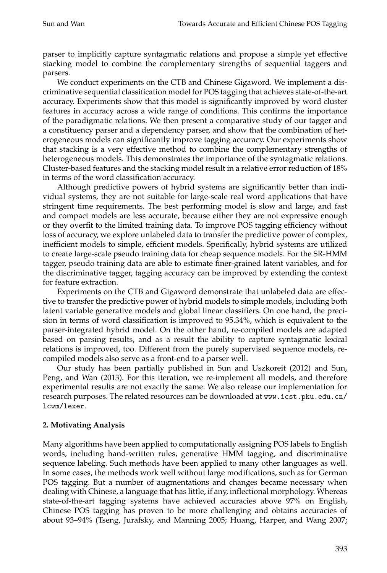parser to implicitly capture syntagmatic relations and propose a simple yet effective stacking model to combine the complementary strengths of sequential taggers and parsers.

We conduct experiments on the CTB and Chinese Gigaword. We implement a discriminative sequential classification model for POS tagging that achieves state-of-the-art accuracy. Experiments show that this model is significantly improved by word cluster features in accuracy across a wide range of conditions. This confirms the importance of the paradigmatic relations. We then present a comparative study of our tagger and a constituency parser and a dependency parser, and show that the combination of heterogeneous models can significantly improve tagging accuracy. Our experiments show that stacking is a very effective method to combine the complementary strengths of heterogeneous models. This demonstrates the importance of the syntagmatic relations. Cluster-based features and the stacking model result in a relative error reduction of 18% in terms of the word classification accuracy.

Although predictive powers of hybrid systems are significantly better than individual systems, they are not suitable for large-scale real word applications that have stringent time requirements. The best performing model is slow and large, and fast and compact models are less accurate, because either they are not expressive enough or they overfit to the limited training data. To improve POS tagging efficiency without loss of accuracy, we explore unlabeled data to transfer the predictive power of complex, inefficient models to simple, efficient models. Specifically, hybrid systems are utilized to create large-scale pseudo training data for cheap sequence models. For the SR-HMM tagger, pseudo training data are able to estimate finer-grained latent variables, and for the discriminative tagger, tagging accuracy can be improved by extending the context for feature extraction.

Experiments on the CTB and Gigaword demonstrate that unlabeled data are effective to transfer the predictive power of hybrid models to simple models, including both latent variable generative models and global linear classifiers. On one hand, the precision in terms of word classification is improved to 95.34%, which is equivalent to the parser-integrated hybrid model. On the other hand, re-compiled models are adapted based on parsing results, and as a result the ability to capture syntagmatic lexical relations is improved, too. Different from the purely supervised sequence models, recompiled models also serve as a front-end to a parser well.

Our study has been partially published in Sun and Uszkoreit (2012) and Sun, Peng, and Wan (2013). For this iteration, we re-implement all models, and therefore experimental results are not exactly the same. We also release our implementation for research purposes. The related resources can be downloaded at www.icst.pku.edu.cn/ lcwm/lexer.

#### **2. Motivating Analysis**

Many algorithms have been applied to computationally assigning POS labels to English words, including hand-written rules, generative HMM tagging, and discriminative sequence labeling. Such methods have been applied to many other languages as well. In some cases, the methods work well without large modifications, such as for German POS tagging. But a number of augmentations and changes became necessary when dealing with Chinese, a language that has little, if any, inflectional morphology. Whereas state-of-the-art tagging systems have achieved accuracies above 97% on English, Chinese POS tagging has proven to be more challenging and obtains accuracies of about 93–94% (Tseng, Jurafsky, and Manning 2005; Huang, Harper, and Wang 2007;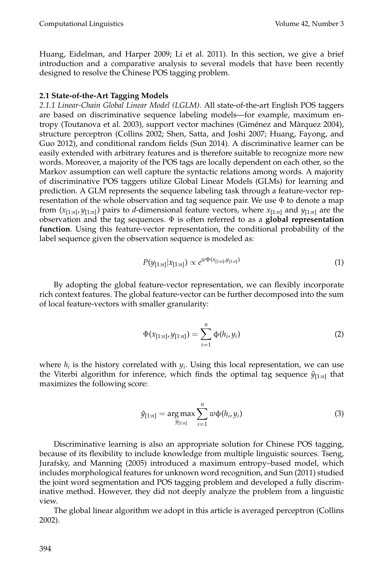Huang, Eidelman, and Harper 2009; Li et al. 2011). In this section, we give a brief introduction and a comparative analysis to several models that have been recently designed to resolve the Chinese POS tagging problem.

#### **2.1 State-of-the-Art Tagging Models**

*2.1.1 Linear-Chain Global Linear Model (LGLM).* All state-of-the-art English POS taggers are based on discriminative sequence labeling models—for example, maximum entropy (Toutanova et al. 2003), support vector machines (Giménez and Màrquez 2004), structure perceptron (Collins 2002; Shen, Satta, and Joshi 2007; Huang, Fayong, and Guo 2012), and conditional random fields (Sun 2014). A discriminative learner can be easily extended with arbitrary features and is therefore suitable to recognize more new words. Moreover, a majority of the POS tags are locally dependent on each other, so the Markov assumption can well capture the syntactic relations among words. A majority of discriminative POS taggers utilize Global Linear Models (GLMs) for learning and prediction. A GLM represents the sequence labeling task through a feature-vector representation of the whole observation and tag sequence pair. We use  $\Phi$  to denote a map from (*x*[1:*n*] , *y*[1:*n*] ) pairs to *d*-dimensional feature vectors, where *x*[1:*n*] and *y*[1:*n*] are the observation and the tag sequences. Φ is often referred to as a **global representation function**. Using this feature-vector representation, the conditional probability of the label sequence given the observation sequence is modeled as:

$$
P(y_{[1:n]}|x_{[1:n]}) \propto e^{w\Phi(x_{[1:n]},y_{[1:n]})}
$$
\n(1)

By adopting the global feature-vector representation, we can flexibly incorporate rich context features. The global feature-vector can be further decomposed into the sum of local feature-vectors with smaller granularity:

$$
\Phi(x_{[1:n]}, y_{[1:n]}) = \sum_{i=1}^{n} \phi(h_i, y_i)
$$
\n(2)

where  $h_i$  is the history correlated with  $y_i$ . Using this local representation, we can use the Viterbi algorithm for inference, which finds the optimal tag sequence  $\hat{y}_{[1:n]}$  that maximizes the following score:

$$
\hat{y}_{[1:n]} = \arg \max_{y_{[1:n]}} \sum_{i=1}^{n} w \phi(h_i, y_i)
$$
\n(3)

Discriminative learning is also an appropriate solution for Chinese POS tagging, because of its flexibility to include knowledge from multiple linguistic sources. Tseng, Jurafsky, and Manning (2005) introduced a maximum entropy–based model, which includes morphological features for unknown word recognition, and Sun (2011) studied the joint word segmentation and POS tagging problem and developed a fully discriminative method. However, they did not deeply analyze the problem from a linguistic view.

The global linear algorithm we adopt in this article is averaged perceptron (Collins 2002).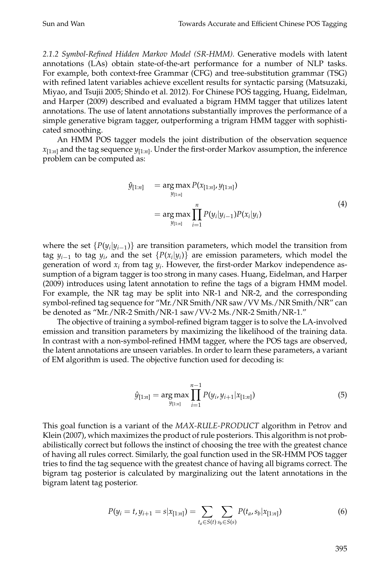*2.1.2 Symbol-Refined Hidden Markov Model (SR-HMM).* Generative models with latent annotations (LAs) obtain state-of-the-art performance for a number of NLP tasks. For example, both context-free Grammar (CFG) and tree-substitution grammar (TSG) with refined latent variables achieve excellent results for syntactic parsing (Matsuzaki, Miyao, and Tsujii 2005; Shindo et al. 2012). For Chinese POS tagging, Huang, Eidelman, and Harper (2009) described and evaluated a bigram HMM tagger that utilizes latent annotations. The use of latent annotations substantially improves the performance of a simple generative bigram tagger, outperforming a trigram HMM tagger with sophisticated smoothing.

An HMM POS tagger models the joint distribution of the observation sequence *x*[1:*n*] and the tag sequence *y*[1:*n*] . Under the first-order Markov assumption, the inference problem can be computed as:

$$
\hat{y}_{[1:n]} = \underset{y_{[1:n]}}{\arg \max} P(x_{[1:n]}, y_{[1:n]})
$$
\n
$$
= \underset{y_{[1:n]}}{\arg \max} \prod_{i=1}^{n} P(y_i | y_{i-1}) P(x_i | y_i)
$$
\n(4)

where the set {*P*(*y<sup>i</sup>* |*yi*−<sup>1</sup> )} are transition parameters, which model the transition from tag  $y_{i-1}$  to tag  $y_i$ , and the set  $\{P(x_i|y_i)\}$  are emission parameters, which model the generation of word  $x_i$  from tag  $y_i$ . However, the first-order Markov independence assumption of a bigram tagger is too strong in many cases. Huang, Eidelman, and Harper (2009) introduces using latent annotation to refine the tags of a bigram HMM model. For example, the NR tag may be split into NR-1 and NR-2, and the corresponding symbol-refined tag sequence for "Mr./NR Smith/NR saw/VV Ms./NR Smith/NR" can be denoted as "Mr./NR-2 Smith/NR-1 saw/VV-2 Ms./NR-2 Smith/NR-1."

The objective of training a symbol-refined bigram tagger is to solve the LA-involved emission and transition parameters by maximizing the likelihood of the training data. In contrast with a non-symbol-refined HMM tagger, where the POS tags are observed, the latent annotations are unseen variables. In order to learn these parameters, a variant of EM algorithm is used. The objective function used for decoding is:

$$
\hat{y}_{[1:n]} = \underset{y_{[1:n]}}{\arg \max} \prod_{i=1}^{n-1} P(y_i, y_{i+1} | x_{[1:n]}) \tag{5}
$$

This goal function is a variant of the *MAX-RULE-PRODUCT* algorithm in Petrov and Klein (2007), which maximizes the product of rule posteriors. This algorithm is not probabilistically correct but follows the instinct of choosing the tree with the greatest chance of having all rules correct. Similarly, the goal function used in the SR-HMM POS tagger tries to find the tag sequence with the greatest chance of having all bigrams correct. The bigram tag posterior is calculated by marginalizing out the latent annotations in the bigram latent tag posterior.

$$
P(y_i = t, y_{i+1} = s | x_{[1:n]}) = \sum_{t_a \in S(t)} \sum_{s_b \in S(s)} P(t_a, s_b | x_{[1:n]})
$$
(6)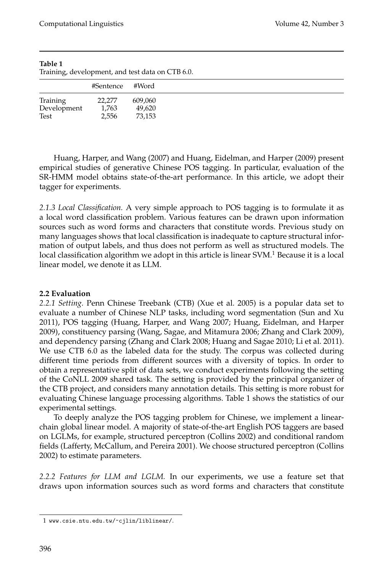|             | #Sentence | #Word   |
|-------------|-----------|---------|
| Training    | 22,277    | 609,060 |
| Development | 1,763     | 49,620  |
| Test        | 2.556     | 73.153  |

#### **Table 1** Training, development, and test data on CTB 6.0.

Huang, Harper, and Wang (2007) and Huang, Eidelman, and Harper (2009) present empirical studies of generative Chinese POS tagging. In particular, evaluation of the SR-HMM model obtains state-of-the-art performance. In this article, we adopt their tagger for experiments.

*2.1.3 Local Classification.* A very simple approach to POS tagging is to formulate it as a local word classification problem. Various features can be drawn upon information sources such as word forms and characters that constitute words. Previous study on many languages shows that local classification is inadequate to capture structural information of output labels, and thus does not perform as well as structured models. The local classification algorithm we adopt in this article is linear SVM.<sup>1</sup> Because it is a local linear model, we denote it as LLM.

#### **2.2 Evaluation**

*2.2.1 Setting.* Penn Chinese Treebank (CTB) (Xue et al. 2005) is a popular data set to evaluate a number of Chinese NLP tasks, including word segmentation (Sun and Xu 2011), POS tagging (Huang, Harper, and Wang 2007; Huang, Eidelman, and Harper 2009), constituency parsing (Wang, Sagae, and Mitamura 2006; Zhang and Clark 2009), and dependency parsing (Zhang and Clark 2008; Huang and Sagae 2010; Li et al. 2011). We use CTB 6.0 as the labeled data for the study. The corpus was collected during different time periods from different sources with a diversity of topics. In order to obtain a representative split of data sets, we conduct experiments following the setting of the CoNLL 2009 shared task. The setting is provided by the principal organizer of the CTB project, and considers many annotation details. This setting is more robust for evaluating Chinese language processing algorithms. Table 1 shows the statistics of our experimental settings.

To deeply analyze the POS tagging problem for Chinese, we implement a linearchain global linear model. A majority of state-of-the-art English POS taggers are based on LGLMs, for example, structured perceptron (Collins 2002) and conditional random fields (Lafferty, McCallum, and Pereira 2001). We choose structured perceptron (Collins 2002) to estimate parameters.

*2.2.2 Features for LLM and LGLM.* In our experiments, we use a feature set that draws upon information sources such as word forms and characters that constitute

<sup>1</sup> www.csie.ntu.edu.tw/~cjlin/liblinear/.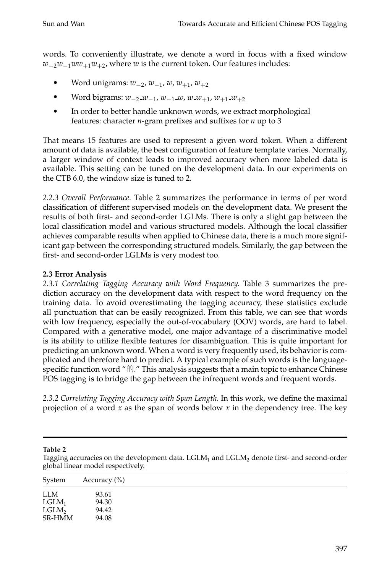words. To conveniently illustrate, we denote a word in focus with a fixed window *w*−2*w*−1*ww*+1*w*+<sup>2</sup> , where *w* is the current token. Our features includes:

- **•** Word unigrams:  $w_{-2}$ ,  $w_{-1}$ ,  $w$ ,  $w_{+1}$ ,  $w_{+2}$
- r Word bigrams: *w*−<sup>2</sup> *w*−<sup>1</sup> , *w*−<sup>1</sup> *w*, *w w*+<sup>1</sup> , *w*+<sup>1</sup> *w*+<sup>2</sup>
- $\bullet$ In order to better handle unknown words, we extract morphological features: character *n*-gram prefixes and suffixes for *n* up to 3

That means 15 features are used to represent a given word token. When a different amount of data is available, the best configuration of feature template varies. Normally, a larger window of context leads to improved accuracy when more labeled data is available. This setting can be tuned on the development data. In our experiments on the CTB 6.0, the window size is tuned to 2.

*2.2.3 Overall Performance.* Table 2 summarizes the performance in terms of per word classification of different supervised models on the development data. We present the results of both first- and second-order LGLMs. There is only a slight gap between the local classification model and various structured models. Although the local classifier achieves comparable results when applied to Chinese data, there is a much more significant gap between the corresponding structured models. Similarly, the gap between the first- and second-order LGLMs is very modest too.

#### **2.3 Error Analysis**

*2.3.1 Correlating Tagging Accuracy with Word Frequency.* Table 3 summarizes the prediction accuracy on the development data with respect to the word frequency on the training data. To avoid overestimating the tagging accuracy, these statistics exclude all punctuation that can be easily recognized. From this table, we can see that words with low frequency, especially the out-of-vocabulary (OOV) words, are hard to label. Compared with a generative model, one major advantage of a discriminative model is its ability to utilize flexible features for disambiguation. This is quite important for predicting an unknown word. When a word is very frequently used, its behavior is complicated and therefore hard to predict. A typical example of such words is the languagespecific function word "的." This analysis suggests that a main topic to enhance Chinese POS tagging is to bridge the gap between the infrequent words and frequent words.

*2.3.2 Correlating Tagging Accuracy with Span Length.* In this work, we define the maximal projection of a word *x* as the span of words below *x* in the dependency tree. The key

#### **Table 2**

Tagging accuracies on the development data.  $\text{LGLM}_1$  and  $\text{LGLM}_2$  denote first- and second-order global linear model respectively.

| System            | Accuracy (%) |
|-------------------|--------------|
| <b>LLM</b>        | 93.61        |
| $LGLM_1$          | 94.30        |
| LGLM <sub>2</sub> | 94.42        |
| <b>SR-HMM</b>     | 94.08        |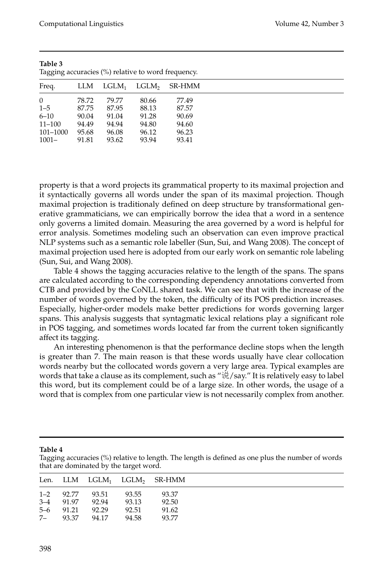| $\cdots$       |       |       |       |                                  |  |  |  |
|----------------|-------|-------|-------|----------------------------------|--|--|--|
| Freq.          |       |       |       | $LLM$ $LGLM_1$ $LGLM_2$ $SR-HMM$ |  |  |  |
| $\overline{0}$ | 78.72 | 79.77 | 80.66 | 77.49                            |  |  |  |
| $1 - 5$        | 87.75 | 87.95 | 88.13 | 87.57                            |  |  |  |
| $6 - 10$       | 90.04 | 91.04 | 91.28 | 90.69                            |  |  |  |
| $11 - 100$     | 94.49 | 94.94 | 94.80 | 94.60                            |  |  |  |
| 101–1000       | 95.68 | 96.08 | 96.12 | 96.23                            |  |  |  |
| $1001 -$       | 91.81 | 93.62 | 93.94 | 93.41                            |  |  |  |
|                |       |       |       |                                  |  |  |  |

**Table 3** Tagging accuracies (%) relative to word frequency.

property is that a word projects its grammatical property to its maximal projection and it syntactically governs all words under the span of its maximal projection. Though maximal projection is traditionaly defined on deep structure by transformational generative grammaticians, we can empirically borrow the idea that a word in a sentence only governs a limited domain. Measuring the area governed by a word is helpful for error analysis. Sometimes modeling such an observation can even improve practical NLP systems such as a semantic role labeller (Sun, Sui, and Wang 2008). The concept of maximal projection used here is adopted from our early work on semantic role labeling (Sun, Sui, and Wang 2008).

Table 4 shows the tagging accuracies relative to the length of the spans. The spans are calculated according to the corresponding dependency annotations converted from CTB and provided by the CoNLL shared task. We can see that with the increase of the number of words governed by the token, the difficulty of its POS prediction increases. Especially, higher-order models make better predictions for words governing larger spans. This analysis suggests that syntagmatic lexical relations play a significant role in POS tagging, and sometimes words located far from the current token significantly affect its tagging.

An interesting phenomenon is that the performance decline stops when the length is greater than 7. The main reason is that these words usually have clear collocation words nearby but the collocated words govern a very large area. Typical examples are words that take a clause as its complement, such as "说/say." It is relatively easy to label this word, but its complement could be of a large size. In other words, the usage of a word that is complex from one particular view is not necessarily complex from another.

Tagging accuracies (%) relative to length. The length is defined as one plus the number of words that are dominated by the target word.

|         |                 |             |       | Len. LLM $LGLM_1$ LGLM <sub>2</sub> SR-HMM |
|---------|-----------------|-------------|-------|--------------------------------------------|
|         | $1 - 2$ 92.77   | 93.51       | 93.55 | 93.37                                      |
| $3 - 4$ | 91.97           | 92.94       | 93.13 | 92.50                                      |
|         | $5 - 6$ $91.21$ | 92.29       | 92.51 | 91.62                                      |
| $7-$    |                 | 93.37 94.17 | 94.58 | 93.77                                      |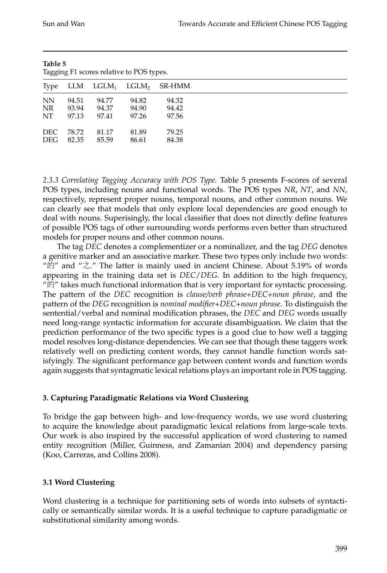|            |                            | $\overline{\mathcal{O}}$ $\overline{\mathcal{O}}$ $\overline{\mathcal{O}}$ $\overline{\mathcal{O}}$ $\overline{\mathcal{O}}$ $\overline{\mathcal{O}}$ $\overline{\mathcal{O}}$ $\overline{\mathcal{O}}$ $\overline{\mathcal{O}}$ $\overline{\mathcal{O}}$ $\overline{\mathcal{O}}$ $\overline{\mathcal{O}}$ $\overline{\mathcal{O}}$ $\overline{\mathcal{O}}$ $\overline{\mathcal{O}}$ $\overline{\mathcal{O}}$ $\overline{\mathcal{O}}$ $\overline{\mathcal{O}}$ $\overline{\$ |                         |                                       |  |
|------------|----------------------------|---------------------------------------------------------------------------------------------------------------------------------------------------------------------------------------------------------------------------------------------------------------------------------------------------------------------------------------------------------------------------------------------------------------------------------------------------------------------------------|-------------------------|---------------------------------------|--|
|            |                            |                                                                                                                                                                                                                                                                                                                                                                                                                                                                                 |                         | Type $LLM$ $LGLM_1$ $LGLM_2$ $SR-HMM$ |  |
| NN.<br>NR. | 94.51<br>93.94<br>NT 97.13 | 94.77<br>94.37<br>97.41                                                                                                                                                                                                                                                                                                                                                                                                                                                         | 94.82<br>94.90<br>97.26 | 94.32<br>94.42<br>97.56               |  |
|            | DEC 78.72<br>DEG 82.35     | 81.17<br>85.59                                                                                                                                                                                                                                                                                                                                                                                                                                                                  | 81.89<br>86.61          | 79.25<br>84.38                        |  |

| Table 5 |                                          |  |
|---------|------------------------------------------|--|
|         | Tagging F1 scores relative to POS types. |  |

*2.3.3 Correlating Tagging Accuracy with POS Type.* Table 5 presents F-scores of several POS types, including nouns and functional words. The POS types *NR*, *NT*, and *NN*, respectively, represent proper nouns, temporal nouns, and other common nouns. We can clearly see that models that only explore local dependencies are good enough to deal with nouns. Superisingly, the local classifier that does not directly define features of possible POS tags of other surrounding words performs even better than structured models for proper nouns and other common nouns.

The tag *DEC* denotes a complementizer or a nominalizer, and the tag *DEG* denotes a genitive marker and an associative marker. These two types only include two words: " $\acute{E}$ " and " $\ddot{Z}$ ." The latter is mainly used in ancient Chinese. About 5.19% of words appearing in the training data set is *DEC*/*DEG*. In addition to the high frequency,  $\tilde{\mathbb{F}}$ " takes much functional information that is very important for syntactic processing. The pattern of the *DEC* recognition is *clause/verb phrase+DEC+noun phrase*, and the pattern of the *DEG* recognition is *nominal modifier+DEC+noun phrase*. To distinguish the sentential/verbal and nominal modification phrases, the *DEC* and *DEG* words usually need long-range syntactic information for accurate disambiguation. We claim that the prediction performance of the two specific types is a good clue to how well a tagging model resolves long-distance dependencies. We can see that though these taggers work relatively well on predicting content words, they cannot handle function words satisfyingly. The significant performance gap between content words and function words again suggests that syntagmatic lexical relations plays an important role in POS tagging.

#### **3. Capturing Paradigmatic Relations via Word Clustering**

To bridge the gap between high- and low-frequency words, we use word clustering to acquire the knowledge about paradigmatic lexical relations from large-scale texts. Our work is also inspired by the successful application of word clustering to named entity recognition (Miller, Guinness, and Zamanian 2004) and dependency parsing (Koo, Carreras, and Collins 2008).

### **3.1 Word Clustering**

Word clustering is a technique for partitioning sets of words into subsets of syntactically or semantically similar words. It is a useful technique to capture paradigmatic or substitutional similarity among words.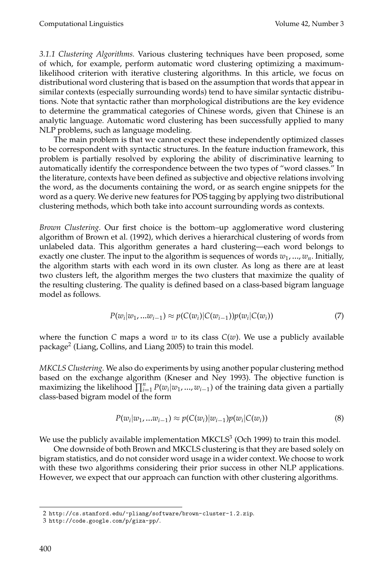*3.1.1 Clustering Algorithms.* Various clustering techniques have been proposed, some of which, for example, perform automatic word clustering optimizing a maximumlikelihood criterion with iterative clustering algorithms. In this article, we focus on distributional word clustering that is based on the assumption that words that appear in similar contexts (especially surrounding words) tend to have similar syntactic distributions. Note that syntactic rather than morphological distributions are the key evidence to determine the grammatical categories of Chinese words, given that Chinese is an analytic language. Automatic word clustering has been successfully applied to many NLP problems, such as language modeling.

The main problem is that we cannot expect these independently optimized classes to be correspondent with syntactic structures. In the feature induction framework, this problem is partially resolved by exploring the ability of discriminative learning to automatically identify the correspondence between the two types of "word classes." In the literature, contexts have been defined as subjective and objective relations involving the word, as the documents containing the word, or as search engine snippets for the word as a query. We derive new features for POS tagging by applying two distributional clustering methods, which both take into account surrounding words as contexts.

*Brown Clustering.* Our first choice is the bottom–up agglomerative word clustering algorithm of Brown et al. (1992), which derives a hierarchical clustering of words from unlabeled data. This algorithm generates a hard clustering—each word belongs to exactly one cluster. The input to the algorithm is sequences of words  $w_1, ..., w_n$ . Initially, the algorithm starts with each word in its own cluster. As long as there are at least two clusters left, the algorithm merges the two clusters that maximize the quality of the resulting clustering. The quality is defined based on a class-based bigram language model as follows.

$$
P(w_i|w_1,...w_{i-1}) \approx p(C(w_i)|C(w_{i-1}))p(w_i|C(w_i))
$$
\n(7)

where the function *C* maps a word *w* to its class  $C(w)$ . We use a publicly available package<sup>2</sup> (Liang, Collins, and Liang 2005) to train this model.

*MKCLS Clustering.* We also do experiments by using another popular clustering method based on the exchange algorithm (Kneser and Ney 1993). The objective function is maximizing the likelihood  $\prod_{i=1}^{n} P(w_i|w_1,...,w_{i-1})$  of the training data given a partially class-based bigram model of the form

$$
P(w_i|w_1,...w_{i-1}) \approx p(C(w_i)|w_{i-1})p(w_i|C(w_i))
$$
\n(8)

We use the publicly available implementation MKCLS $^3$  (Och 1999) to train this model.

One downside of both Brown and MKCLS clustering is that they are based solely on bigram statistics, and do not consider word usage in a wider context. We choose to work with these two algorithms considering their prior success in other NLP applications. However, we expect that our approach can function with other clustering algorithms.

<sup>2</sup> http://cs.stanford.edu/~pliang/software/brown-cluster-1.2.zip.

<sup>3</sup> http://code.google.com/p/giza-pp/.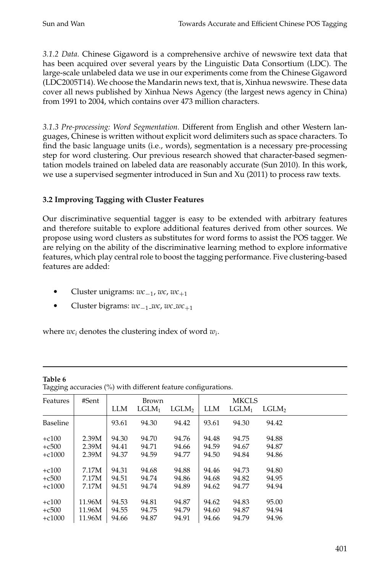*3.1.2 Data.* Chinese Gigaword is a comprehensive archive of newswire text data that has been acquired over several years by the Linguistic Data Consortium (LDC). The large-scale unlabeled data we use in our experiments come from the Chinese Gigaword (LDC2005T14). We choose the Mandarin news text, that is, Xinhua newswire. These data cover all news published by Xinhua News Agency (the largest news agency in China) from 1991 to 2004, which contains over 473 million characters.

*3.1.3 Pre-processing: Word Segmentation.* Different from English and other Western languages, Chinese is written without explicit word delimiters such as space characters. To find the basic language units (i.e., words), segmentation is a necessary pre-processing step for word clustering. Our previous research showed that character-based segmentation models trained on labeled data are reasonably accurate (Sun 2010). In this work, we use a supervised segmenter introduced in Sun and Xu (2011) to process raw texts.

### **3.2 Improving Tagging with Cluster Features**

Our discriminative sequential tagger is easy to be extended with arbitrary features and therefore suitable to explore additional features derived from other sources. We propose using word clusters as substitutes for word forms to assist the POS tagger. We are relying on the ability of the discriminative learning method to explore informative features, which play central role to boost the tagging performance. Five clustering-based features are added:

- r Cluster unigrams: *wc*−<sup>1</sup> , *wc*, *wc*+<sup>1</sup>
- r Cluster bigrams: *wc*−<sup>1</sup> *wc*, *wc wc*+<sup>1</sup>

where *wc<sup>i</sup>* denotes the clustering index of word *w<sup>i</sup>* .

|                                |                            |                         |                         | Tagging accuracies (70) while university reature configurations. |                         |                          |                         |  |
|--------------------------------|----------------------------|-------------------------|-------------------------|------------------------------------------------------------------|-------------------------|--------------------------|-------------------------|--|
| Features                       | #Sent                      | <b>LLM</b>              | Brown<br>$LGLM_1$       | LGLM <sub>2</sub>                                                | <b>LLM</b>              | <b>MKCLS</b><br>$LGLM_1$ | LGLM <sub>2</sub>       |  |
| Baseline                       |                            | 93.61                   | 94.30                   | 94.42                                                            | 93.61                   | 94.30                    | 94.42                   |  |
| $+c100$<br>$+c500$<br>$+c1000$ | 2.39M<br>2.39M<br>2.39M    | 94.30<br>94.41<br>94.37 | 94.70<br>94.71<br>94.59 | 94.76<br>94.66<br>94.77                                          | 94.48<br>94.59<br>94.50 | 94.75<br>94.67<br>94.84  | 94.88<br>94.87<br>94.86 |  |
| $+c100$<br>$+c500$<br>$+c1000$ | 7.17M<br>7.17M<br>7.17M    | 94.31<br>94.51<br>94.51 | 94.68<br>94.74<br>94.74 | 94.88<br>94.86<br>94.89                                          | 94.46<br>94.68<br>94.62 | 94.73<br>94.82<br>94.77  | 94.80<br>94.95<br>94.94 |  |
| $+c100$<br>$+c500$<br>$+c1000$ | 11.96M<br>11.96M<br>11.96M | 94.53<br>94.55<br>94.66 | 94.81<br>94.75<br>94.87 | 94.87<br>94.79<br>94.91                                          | 94.62<br>94.60<br>94.66 | 94.83<br>94.87<br>94.79  | 95.00<br>94.94<br>94.96 |  |

**Table 6** racies (%) with different feature configurations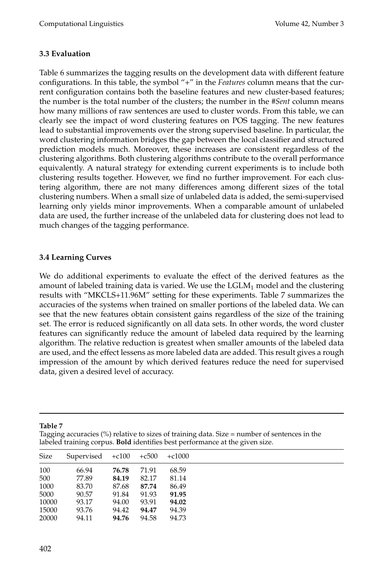### **3.3 Evaluation**

Table 6 summarizes the tagging results on the development data with different feature configurations. In this table, the symbol "+" in the *Features* column means that the current configuration contains both the baseline features and new cluster-based features; the number is the total number of the clusters; the number in the *#Sent* column means how many millions of raw sentences are used to cluster words. From this table, we can clearly see the impact of word clustering features on POS tagging. The new features lead to substantial improvements over the strong supervised baseline. In particular, the word clustering information bridges the gap between the local classifier and structured prediction models much. Moreover, these increases are consistent regardless of the clustering algorithms. Both clustering algorithms contribute to the overall performance equivalently. A natural strategy for extending current experiments is to include both clustering results together. However, we find no further improvement. For each clustering algorithm, there are not many differences among different sizes of the total clustering numbers. When a small size of unlabeled data is added, the semi-supervised learning only yields minor improvements. When a comparable amount of unlabeled data are used, the further increase of the unlabeled data for clustering does not lead to much changes of the tagging performance.

#### **3.4 Learning Curves**

We do additional experiments to evaluate the effect of the derived features as the amount of labeled training data is varied. We use the  $LGLM<sub>1</sub>$  model and the clustering results with "MKCLS+11.96M" setting for these experiments. Table 7 summarizes the accuracies of the systems when trained on smaller portions of the labeled data. We can see that the new features obtain consistent gains regardless of the size of the training set. The error is reduced significantly on all data sets. In other words, the word cluster features can significantly reduce the amount of labeled data required by the learning algorithm. The relative reduction is greatest when smaller amounts of the labeled data are used, and the effect lessens as more labeled data are added. This result gives a rough impression of the amount by which derived features reduce the need for supervised data, given a desired level of accuracy.

**Table 7**

|                                                                              | Tagging accuracies $(\%)$ relative to sizes of training data. Size = number of sentences in the |
|------------------------------------------------------------------------------|-------------------------------------------------------------------------------------------------|
| labeled training corpus. Bold identifies best performance at the given size. |                                                                                                 |

| <b>Size</b> | Supervised | +c100 | +c500 | +c1000 |
|-------------|------------|-------|-------|--------|
| 100         | 66.94      | 76.78 | 71.91 | 68.59  |
| 500         | 77.89      | 84.19 | 82.17 | 81.14  |
| 1000        | 83.70      | 87.68 | 87.74 | 86.49  |
| 5000        | 90.57      | 91.84 | 91.93 | 91.95  |
| 10000       | 93.17      | 94.00 | 93.91 | 94.02  |
| 15000       | 93.76      | 94.42 | 94.47 | 94.39  |
| 20000       | 94.11      | 94.76 | 94.58 | 94.73  |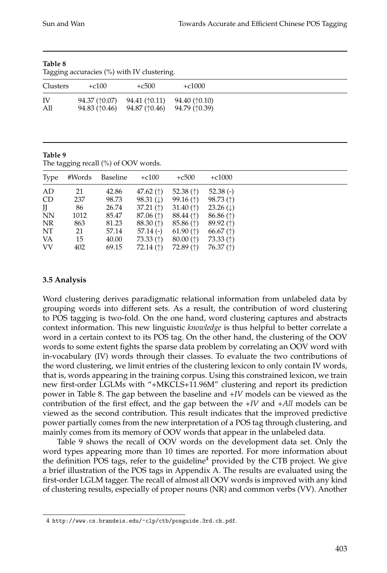| ٠<br>۰,<br>- -<br>×<br>×<br>٧<br>× |  |
|------------------------------------|--|
|------------------------------------|--|

Tagging accuracies (%) with IV clustering.

| Clusters | $+c100$       | $+c500$                                               | $+c1000$ |
|----------|---------------|-------------------------------------------------------|----------|
| IV       | 94.37 (10.07) | $94.41$ ( $\uparrow$ 0.11) $94.40$ ( $\uparrow$ 0.10) |          |
| All      | 94.83 (10.46) | $94.87$ (10.46) $94.79$ (10.39)                       |          |

**Table 9** The tagging recall (%) of OOV words.

| Type      | #Words | Baseline | $+c100$                                      | $+c500$                                      | $+c1000$                                     |  |
|-----------|--------|----------|----------------------------------------------|----------------------------------------------|----------------------------------------------|--|
| AD        | 21     | 42.86    | 47.62 $($ $\uparrow)$                        | 52.38 $($ <sup><math>\dagger)</math></sup>   | $52.38(-)$                                   |  |
| <b>CD</b> | 237    | 98.73    | 98.31 $(1)$                                  | 99.16 $($ <sup><math>\uparrow</math></sup> ) | 98.73(f)                                     |  |
| IJ        | 86     | 26.74    | 37.21 $($ $\uparrow$ $)$                     | 31.40 $($ $\uparrow)$                        | 23.26 ( $\downarrow$ )                       |  |
| NN        | 1012   | 85.47    | 87.06 $($ <sup><math>\uparrow</math></sup> ) | $88.44($ <sup><math>\dagger)</math></sup>    | 86.86 $($ <sup><math>\uparrow</math></sup> ) |  |
| NR.       | 863    | 81.23    | 88.30(f)                                     | 85.86 $($ <sup><math>\uparrow</math></sup> ) | $89.92$ (1)                                  |  |
| NT        | 21     | 57.14    | $57.14$ (-)                                  | 61.90 $($ $\uparrow)$                        | 66.67 $($ $\uparrow$ )                       |  |
| VA        | 15     | 40.00    | 73.33 $($ $\uparrow$ $)$                     | 80.00 $($ $\uparrow$ $)$                     | 73.33 $($ $\uparrow$ $)$                     |  |
| <b>VV</b> | 402    | 69.15    | 72.14 $($ $\uparrow$ )                       | 72.89 $($ $\uparrow$ $)$                     | 76.37 $($ $\uparrow$ )                       |  |
|           |        |          |                                              |                                              |                                              |  |

#### **3.5 Analysis**

Word clustering derives paradigmatic relational information from unlabeled data by grouping words into different sets. As a result, the contribution of word clustering to POS tagging is two-fold. On the one hand, word clustering captures and abstracts context information. This new linguistic *knowledge* is thus helpful to better correlate a word in a certain context to its POS tag. On the other hand, the clustering of the OOV words to some extent fights the sparse data problem by correlating an OOV word with in-vocabulary (IV) words through their classes. To evaluate the two contributions of the word clustering, we limit entries of the clustering lexicon to only contain IV words, that is, words appearing in the training corpus. Using this constrained lexicon, we train new first-order LGLMs with "+MKCLS+11.96M" clustering and report its prediction power in Table 8. The gap between the baseline and *+IV* models can be viewed as the contribution of the first effect, and the gap between the *+IV* and *+All* models can be viewed as the second contribution. This result indicates that the improved predictive power partially comes from the new interpretation of a POS tag through clustering, and mainly comes from its memory of OOV words that appear in the unlabeled data.

Table 9 shows the recall of OOV words on the development data set. Only the word types appearing more than 10 times are reported. For more information about the definition POS tags, refer to the guideline $4$  provided by the CTB project. We give a brief illustration of the POS tags in Appendix A. The results are evaluated using the first-order LGLM tagger. The recall of almost all OOV words is improved with any kind of clustering results, especially of proper nouns (NR) and common verbs (VV). Another

<sup>4</sup> http://www.cs.brandeis.edu/~clp/ctb/posguide.3rd.ch.pdf.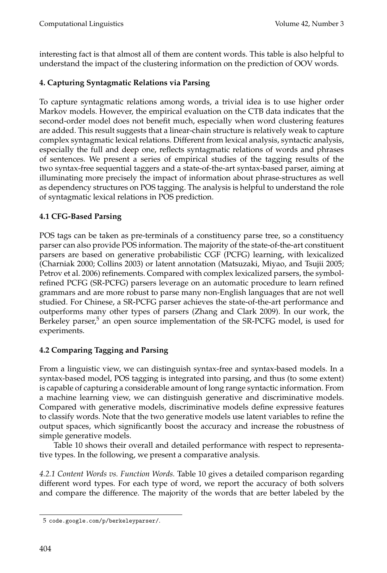interesting fact is that almost all of them are content words. This table is also helpful to understand the impact of the clustering information on the prediction of OOV words.

### **4. Capturing Syntagmatic Relations via Parsing**

To capture syntagmatic relations among words, a trivial idea is to use higher order Markov models. However, the empirical evaluation on the CTB data indicates that the second-order model does not benefit much, especially when word clustering features are added. This result suggests that a linear-chain structure is relatively weak to capture complex syntagmatic lexical relations. Different from lexical analysis, syntactic analysis, especially the full and deep one, reflects syntagmatic relations of words and phrases of sentences. We present a series of empirical studies of the tagging results of the two syntax-free sequential taggers and a state-of-the-art syntax-based parser, aiming at illuminating more precisely the impact of information about phrase-structures as well as dependency structures on POS tagging. The analysis is helpful to understand the role of syntagmatic lexical relations in POS prediction.

### **4.1 CFG-Based Parsing**

POS tags can be taken as pre-terminals of a constituency parse tree, so a constituency parser can also provide POS information. The majority of the state-of-the-art constituent parsers are based on generative probabilistic CGF (PCFG) learning, with lexicalized (Charniak 2000; Collins 2003) or latent annotation (Matsuzaki, Miyao, and Tsujii 2005; Petrov et al. 2006) refinements. Compared with complex lexicalized parsers, the symbolrefined PCFG (SR-PCFG) parsers leverage on an automatic procedure to learn refined grammars and are more robust to parse many non-English languages that are not well studied. For Chinese, a SR-PCFG parser achieves the state-of-the-art performance and outperforms many other types of parsers (Zhang and Clark 2009). In our work, the Berkeley parser,<sup>5</sup> an open source implementation of the SR-PCFG model, is used for experiments.

### **4.2 Comparing Tagging and Parsing**

From a linguistic view, we can distinguish syntax-free and syntax-based models. In a syntax-based model, POS tagging is integrated into parsing, and thus (to some extent) is capable of capturing a considerable amount of long range syntactic information. From a machine learning view, we can distinguish generative and discriminative models. Compared with generative models, discriminative models define expressive features to classify words. Note that the two generative models use latent variables to refine the output spaces, which significantly boost the accuracy and increase the robustness of simple generative models.

Table 10 shows their overall and detailed performance with respect to representative types. In the following, we present a comparative analysis.

*4.2.1 Content Words vs. Function Words.* Table 10 gives a detailed comparison regarding different word types. For each type of word, we report the accuracy of both solvers and compare the difference. The majority of the words that are better labeled by the

<sup>5</sup> code.google.com/p/berkeleyparser/.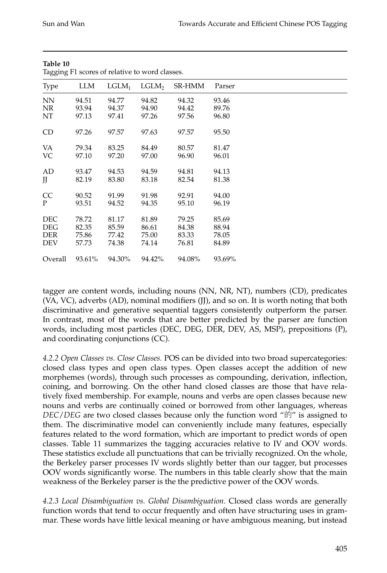|                |        | Tagging 1 1 scores of relative to word classes. |                   |        |        |  |
|----------------|--------|-------------------------------------------------|-------------------|--------|--------|--|
| Type           | LLM    | $\rm LGLM_1$                                    | LGLM <sub>2</sub> | SR-HMM | Parser |  |
| <b>NN</b>      | 94.51  | 94.77                                           | 94.82             | 94.32  | 93.46  |  |
| <b>NR</b>      | 93.94  | 94.37                                           | 94.90             | 94.42  | 89.76  |  |
| NT             | 97.13  | 97.41                                           | 97.26             | 97.56  | 96.80  |  |
| CD <sub></sub> | 97.26  | 97.57                                           | 97.63             | 97.57  | 95.50  |  |
| VA             | 79.34  | 83.25                                           | 84.49             | 80.57  | 81.47  |  |
| VC             | 97.10  | 97.20                                           | 97.00             | 96.90  | 96.01  |  |
| AD             | 93.47  | 94.53                                           | 94.59             | 94.81  | 94.13  |  |
| JJ             | 82.19  | 83.80                                           | 83.18             | 82.54  | 81.38  |  |
| CC             | 90.52  | 91.99                                           | 91.98             | 92.91  | 94.00  |  |
| P              | 93.51  | 94.52                                           | 94.35             | 95.10  | 96.19  |  |
| <b>DEC</b>     | 78.72  | 81.17                                           | 81.89             | 79.25  | 85.69  |  |
| <b>DEG</b>     | 82.35  | 85.59                                           | 86.61             | 84.38  | 88.94  |  |
| <b>DER</b>     | 75.86  | 77.42                                           | 75.00             | 83.33  | 78.05  |  |
| DEV            | 57.73  | 74.38                                           | 74.14             | 76.81  | 84.89  |  |
| Overall        | 93.61% | 94.30%                                          | 94.42%            | 94.08% | 93.69% |  |

| Table 10                                        |  |  |
|-------------------------------------------------|--|--|
| The control T1 control of all of the control of |  |  |

Tagging F1 scores of relative to word classes.

tagger are content words, including nouns (NN, NR, NT), numbers (CD), predicates (VA, VC), adverbs (AD), nominal modifiers (JJ), and so on. It is worth noting that both discriminative and generative sequential taggers consistently outperform the parser. In contrast, most of the words that are better predicted by the parser are function words, including most particles (DEC, DEG, DER, DEV, AS, MSP), prepositions (P), and coordinating conjunctions (CC).

*4.2.2 Open Classes vs. Close Classes.* POS can be divided into two broad supercategories: closed class types and open class types. Open classes accept the addition of new morphemes (words), through such processes as compounding, derivation, inflection, coining, and borrowing. On the other hand closed classes are those that have relatively fixed membership. For example, nouns and verbs are open classes because new nouns and verbs are continually coined or borrowed from other languages, whereas *DEC*/*DEG* are two closed classes because only the function word "的" is assigned to them. The discriminative model can conveniently include many features, especially features related to the word formation, which are important to predict words of open classes. Table 11 summarizes the tagging accuracies relative to IV and OOV words. These statistics exclude all punctuations that can be trivially recognized. On the whole, the Berkeley parser processes IV words slightly better than our tagger, but processes OOV words significantly worse. The numbers in this table clearly show that the main weakness of the Berkeley parser is the the predictive power of the OOV words.

*4.2.3 Local Disambiguation vs. Global Disambiguation.* Closed class words are generally function words that tend to occur frequently and often have structuring uses in grammar. These words have little lexical meaning or have ambiguous meaning, but instead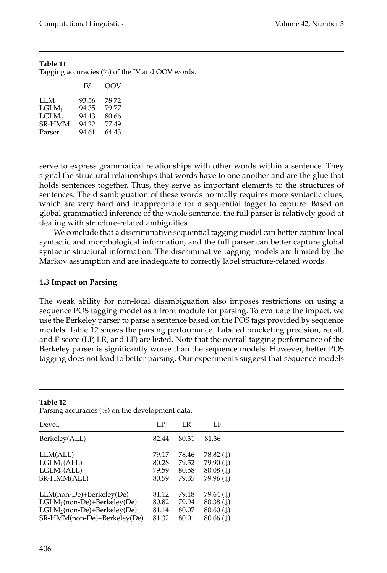|                                                          |                               |                                              | ragging accuracies (70) or the 1y and OO y Words. |
|----------------------------------------------------------|-------------------------------|----------------------------------------------|---------------------------------------------------|
|                                                          | IV                            | OOV                                          |                                                   |
| LLM<br>$LGLM_1$<br>LGLM <sub>2</sub><br>SR-HMM<br>Parser | 93.56<br>94.22 77.49<br>94.61 | 78.72<br>94.35 79.77<br>94.43 80.66<br>64.43 |                                                   |
|                                                          |                               |                                              |                                                   |

**Table 11** Tagging accuracies (%) of the IV and OOV words.

serve to express grammatical relationships with other words within a sentence. They signal the structural relationships that words have to one another and are the glue that holds sentences together. Thus, they serve as important elements to the structures of sentences. The disambiguation of these words normally requires more syntactic clues, which are very hard and inappropriate for a sequential tagger to capture. Based on global grammatical inference of the whole sentence, the full parser is relatively good at dealing with structure-related ambiguities.

We conclude that a discriminative sequential tagging model can better capture local syntactic and morphological information, and the full parser can better capture global syntactic structural information. The discriminative tagging models are limited by the Markov assumption and are inadequate to correctly label structure-related words.

#### **4.3 Impact on Parsing**

The weak ability for non-local disambiguation also imposes restrictions on using a sequence POS tagging model as a front module for parsing. To evaluate the impact, we use the Berkeley parser to parse a sentence based on the POS tags provided by sequence models. Table 12 shows the parsing performance. Labeled bracketing precision, recall, and F-score (LP, LR, and LF) are listed. Note that the overall tagging performance of the Berkeley parser is significantly worse than the sequence models. However, better POS tagging does not lead to better parsing. Our experiments suggest that sequence models

| Table 12<br>Parsing accuracies (%) on the development data. |       |       |                        |  |
|-------------------------------------------------------------|-------|-------|------------------------|--|
| Devel.                                                      | LP    | LR    | LF                     |  |
| Berkeley(ALL)                                               | 82.44 | 80.31 | 81.36                  |  |
| LLM(ALL)                                                    | 79.17 | 78.46 | 78.82 $( )$            |  |
| $LGLM_1(ALL)$                                               | 80.28 | 79.52 | 79.90 $(1)$            |  |
| LGLM <sub>2</sub> (ALL)                                     | 79.59 | 80.58 | 80.08 $( )$            |  |
| SR-HMM(ALL)                                                 | 80.59 | 79.35 | 79.96 $( )$            |  |
| $LLM$ (non-De)+Berkeley(De)                                 | 81.12 | 79.18 | 79.64 $( )$            |  |
| $LGLM1(non-De)+Berkeley(De)$                                | 80.82 | 79.94 | 80.38 ( $\downarrow$ ) |  |
| $LGLM2(non-De)+Berkeley(De)$                                | 81.14 | 80.07 | 80.60 $(1)$            |  |
| SR-HMM(non-De)+Berkeley(De)                                 | 81.32 | 80.01 | 80.66 $( )$            |  |

**Table 12**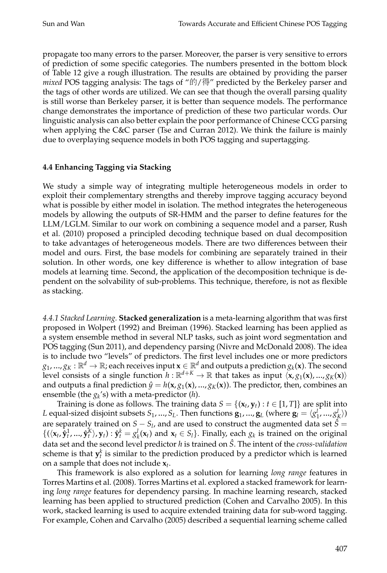propagate too many errors to the parser. Moreover, the parser is very sensitive to errors of prediction of some specific categories. The numbers presented in the bottom block of Table 12 give a rough illustration. The results are obtained by providing the parser *mixed* POS tagging analysis: The tags of "的/得" predicted by the Berkeley parser and the tags of other words are utilized. We can see that though the overall parsing quality is still worse than Berkeley parser, it is better than sequence models. The performance change demonstrates the importance of prediction of these two particular words. Our linguistic analysis can also better explain the poor performance of Chinese CCG parsing when applying the C&C parser (Tse and Curran 2012). We think the failure is mainly due to overplaying sequence models in both POS tagging and supertagging.

#### **4.4 Enhancing Tagging via Stacking**

We study a simple way of integrating multiple heterogeneous models in order to exploit their complementary strengths and thereby improve tagging accuracy beyond what is possible by either model in isolation. The method integrates the heterogeneous models by allowing the outputs of SR-HMM and the parser to define features for the LLM/LGLM. Similar to our work on combining a sequence model and a parser, Rush et al. (2010) proposed a principled decoding technique based on dual decomposition to take advantages of heterogeneous models. There are two differences between their model and ours. First, the base models for combining are separately trained in their solution. In other words, one key difference is whether to allow integration of base models at learning time. Second, the application of the decomposition technique is dependent on the solvability of sub-problems. This technique, therefore, is not as flexible as stacking.

*4.4.1 Stacked Learning.* **Stacked generalization** is a meta-learning algorithm that was first proposed in Wolpert (1992) and Breiman (1996). Stacked learning has been applied as a system ensemble method in several NLP tasks, such as joint word segmentation and POS tagging (Sun 2011), and dependency parsing (Nivre and McDonald 2008). The idea is to include two "levels" of predictors. The first level includes one or more predictors  $g_1,...,g_K:\R^d\to\R;$  each receives input  $\mathbf{x}\in\R^d$  and outputs a prediction  $g_k(\mathbf{x})$ . The second level consists of a single function  $h : \mathbb{R}^{d+K} \to \mathbb{R}$  that takes as input  $\langle x, g_1(x), ..., g_K(x) \rangle$ and outputs a final prediction  $\hat{y} = h(\mathbf{x}, g_1(\mathbf{x}), ..., g_K(\mathbf{x}))$ . The predictor, then, combines an ensemble (the *g<sup>k</sup>* 's) with a meta-predictor (*h*).

Training is done as follows. The training data  $S = \{(\mathbf{x}_t, \mathbf{y}_t) : t \in [1, T]\}$  are split into *L* equal-sized disjoint subsets  $S_1, ..., S_L$ . Then functions  $\mathbf{g}_1, ..., \mathbf{g}_L$  (where  $\mathbf{g}_l = \langle g_1^l, ..., g_K^l \rangle$ ) are separately trained on  $S - S_l$ , and are used to construct the augmented data set  $\hat{S} =$  $\{(\langle \mathbf{x}_t, \hat{\mathbf{y}}_t^1, ..., \hat{\mathbf{y}}_t^k \rangle, \mathbf{y}_t) : \hat{\mathbf{y}}_t^k = g_k^l(\mathbf{x}_t)$  and  $\mathbf{x}_t \in S_l\}$ . Finally, each  $g_k$  is trained on the original data set and the second level predictor *h* is trained on *S*ˆ. The intent of the *cross-validation* scheme is that  $y_i^k$  is similar to the prediction produced by a predictor which is learned on a sample that does not include **x***<sup>t</sup>* .

This framework is also explored as a solution for learning *long range* features in Torres Martins et al. (2008). Torres Martins et al. explored a stacked framework for learning *long range* features for dependency parsing. In machine learning research, stacked learning has been applied to structured prediction (Cohen and Carvalho 2005). In this work, stacked learning is used to acquire extended training data for sub-word tagging. For example, Cohen and Carvalho (2005) described a sequential learning scheme called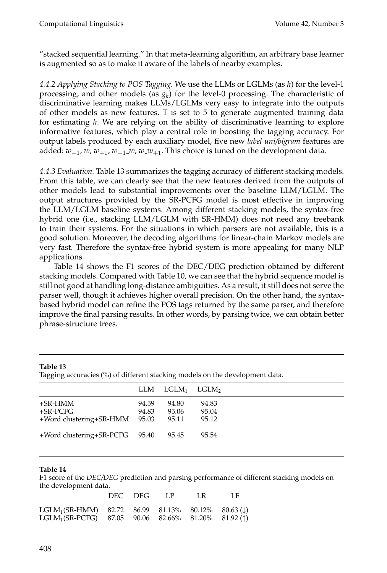"stacked sequential learning." In that meta-learning algorithm, an arbitrary base learner is augmented so as to make it aware of the labels of nearby examples.

*4.4.2 Applying Stacking to POS Tagging.* We use the LLMs or LGLMs (as *h*) for the level-1 processing, and other models (as *g<sup>k</sup>* ) for the level-0 processing. The characteristic of discriminative learning makes LLMs/LGLMs very easy to integrate into the outputs of other models as new features. T is set to 5 to generate augmented training data for estimating *h*. We are relying on the ability of discriminative learning to explore informative features, which play a central role in boosting the tagging accuracy. For output labels produced by each auxiliary model, five new *label uni/bigram* features are added: *w*−<sup>1</sup> , *w*, *w*+<sup>1</sup> , *w*−<sup>1</sup> *w*, *w w*+<sup>1</sup> . This choice is tuned on the development data.

*4.4.3 Evaluation.* Table 13 summarizes the tagging accuracy of different stacking models. From this table, we can clearly see that the new features derived from the outputs of other models lead to substantial improvements over the baseline LLM/LGLM. The output structures provided by the SR-PCFG model is most effective in improving the LLM/LGLM baseline systems. Among different stacking models, the syntax-free hybrid one (i.e., stacking LLM/LGLM with SR-HMM) does not need any treebank to train their systems. For the situations in which parsers are not available, this is a good solution. Moreover, the decoding algorithms for linear-chain Markov models are very fast. Therefore the syntax-free hybrid system is more appealing for many NLP applications.

Table 14 shows the F1 scores of the DEC/DEG prediction obtained by different stacking models. Compared with Table 10, we can see that the hybrid sequence model is still not good at handling long-distance ambiguities. As a result, it still does not serve the parser well, though it achieves higher overall precision. On the other hand, the syntaxbased hybrid model can refine the POS tags returned by the same parser, and therefore improve the final parsing results. In other words, by parsing twice, we can obtain better phrase-structure trees.

| Tagging accuracies (%) of different stacking models on the development data. |                         |                         |                         |  |
|------------------------------------------------------------------------------|-------------------------|-------------------------|-------------------------|--|
|                                                                              | <b>LLM</b>              | LGLM <sub>1</sub>       | LGLM <sub>2</sub>       |  |
| +SR-HMM<br>+SR-PCFG<br>+Word clustering+SR-HMM                               | 94.59<br>94.83<br>95.03 | 94.80<br>95.06<br>95.11 | 94.83<br>95.04<br>95.12 |  |
| +Word clustering+SR-PCFG 95.40                                               |                         | 95.45                   | 95.54                   |  |

#### **Table 13**

 $T_{\rm g}$  (%) of different stacking models on the development data.

#### **Table 14**

F1 score of the *DEC/DEG* prediction and parsing performance of different stacking models on the development data.

|                                                                                                                                              | DEC DEG LP | <u>is iki</u> |  |
|----------------------------------------------------------------------------------------------------------------------------------------------|------------|---------------|--|
| LGLM <sub>1</sub> (SR-HMM) 82.72 86.99 81.13% 80.12% 80.63( $\downarrow$ )<br>LGLM <sub>1</sub> (SR-PCFG) 87.05 90.06 82.66% 81.20% 81.92(1) |            |               |  |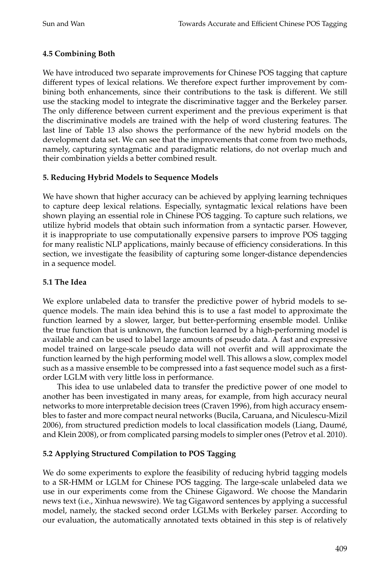### **4.5 Combining Both**

We have introduced two separate improvements for Chinese POS tagging that capture different types of lexical relations. We therefore expect further improvement by combining both enhancements, since their contributions to the task is different. We still use the stacking model to integrate the discriminative tagger and the Berkeley parser. The only difference between current experiment and the previous experiment is that the discriminative models are trained with the help of word clustering features. The last line of Table 13 also shows the performance of the new hybrid models on the development data set. We can see that the improvements that come from two methods, namely, capturing syntagmatic and paradigmatic relations, do not overlap much and their combination yields a better combined result.

### **5. Reducing Hybrid Models to Sequence Models**

We have shown that higher accuracy can be achieved by applying learning techniques to capture deep lexical relations. Especially, syntagmatic lexical relations have been shown playing an essential role in Chinese POS tagging. To capture such relations, we utilize hybrid models that obtain such information from a syntactic parser. However, it is inappropriate to use computationally expensive parsers to improve POS tagging for many realistic NLP applications, mainly because of efficiency considerations. In this section, we investigate the feasibility of capturing some longer-distance dependencies in a sequence model.

### **5.1 The Idea**

We explore unlabeled data to transfer the predictive power of hybrid models to sequence models. The main idea behind this is to use a fast model to approximate the function learned by a slower, larger, but better-performing ensemble model. Unlike the true function that is unknown, the function learned by a high-performing model is available and can be used to label large amounts of pseudo data. A fast and expressive model trained on large-scale pseudo data will not overfit and will approximate the function learned by the high performing model well. This allows a slow, complex model such as a massive ensemble to be compressed into a fast sequence model such as a firstorder LGLM with very little loss in performance.

This idea to use unlabeled data to transfer the predictive power of one model to another has been investigated in many areas, for example, from high accuracy neural networks to more interpretable decision trees (Craven 1996), from high accuracy ensembles to faster and more compact neural networks (Bucila, Caruana, and Niculescu-Mizil 2006), from structured prediction models to local classification models (Liang, Daume,´ and Klein 2008), or from complicated parsing models to simpler ones (Petrov et al. 2010).

### **5.2 Applying Structured Compilation to POS Tagging**

We do some experiments to explore the feasibility of reducing hybrid tagging models to a SR-HMM or LGLM for Chinese POS tagging. The large-scale unlabeled data we use in our experiments come from the Chinese Gigaword. We choose the Mandarin news text (i.e., Xinhua newswire). We tag Gigaword sentences by applying a successful model, namely, the stacked second order LGLMs with Berkeley parser. According to our evaluation, the automatically annotated texts obtained in this step is of relatively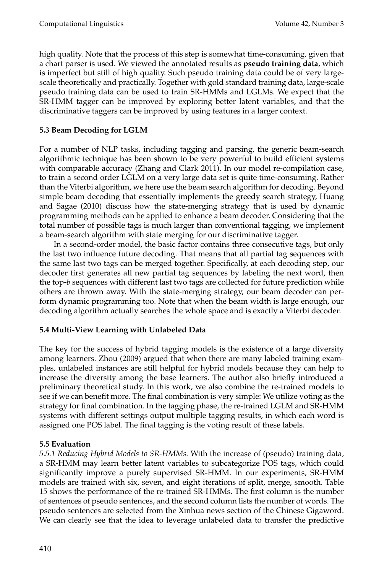high quality. Note that the process of this step is somewhat time-consuming, given that a chart parser is used. We viewed the annotated results as **pseudo training data**, which is imperfect but still of high quality. Such pseudo training data could be of very largescale theoretically and practically. Together with gold standard training data, large-scale pseudo training data can be used to train SR-HMMs and LGLMs. We expect that the SR-HMM tagger can be improved by exploring better latent variables, and that the discriminative taggers can be improved by using features in a larger context.

### **5.3 Beam Decoding for LGLM**

For a number of NLP tasks, including tagging and parsing, the generic beam-search algorithmic technique has been shown to be very powerful to build efficient systems with comparable accuracy (Zhang and Clark 2011). In our model re-compilation case, to train a second order LGLM on a very large data set is quite time-consuming. Rather than the Viterbi algorithm, we here use the beam search algorithm for decoding. Beyond simple beam decoding that essentially implements the greedy search strategy, Huang and Sagae (2010) discuss how the state-merging strategy that is used by dynamic programming methods can be applied to enhance a beam decoder. Considering that the total number of possible tags is much larger than conventional tagging, we implement a beam-search algorithm with state merging for our discriminative tagger.

In a second-order model, the basic factor contains three consecutive tags, but only the last two influence future decoding. That means that all partial tag sequences with the same last two tags can be merged together. Specifically, at each decoding step, our decoder first generates all new partial tag sequences by labeling the next word, then the top-*b* sequences with different last two tags are collected for future prediction while others are thrown away. With the state-merging strategy, our beam decoder can perform dynamic programming too. Note that when the beam width is large enough, our decoding algorithm actually searches the whole space and is exactly a Viterbi decoder.

### **5.4 Multi-View Learning with Unlabeled Data**

The key for the success of hybrid tagging models is the existence of a large diversity among learners. Zhou (2009) argued that when there are many labeled training examples, unlabeled instances are still helpful for hybrid models because they can help to increase the diversity among the base learners. The author also briefly introduced a preliminary theoretical study. In this work, we also combine the re-trained models to see if we can benefit more. The final combination is very simple: We utilize voting as the strategy for final combination. In the tagging phase, the re-trained LGLM and SR-HMM systems with different settings output multiple tagging results, in which each word is assigned one POS label. The final tagging is the voting result of these labels.

### **5.5 Evaluation**

*5.5.1 Reducing Hybrid Models to SR-HMMs.* With the increase of (pseudo) training data, a SR-HMM may learn better latent variables to subcategorize POS tags, which could significantly improve a purely supervised SR-HMM. In our experiments, SR-HMM models are trained with six, seven, and eight iterations of split, merge, smooth. Table 15 shows the performance of the re-trained SR-HMMs. The first column is the number of sentences of pseudo sentences, and the second column lists the number of words. The pseudo sentences are selected from the Xinhua news section of the Chinese Gigaword. We can clearly see that the idea to leverage unlabeled data to transfer the predictive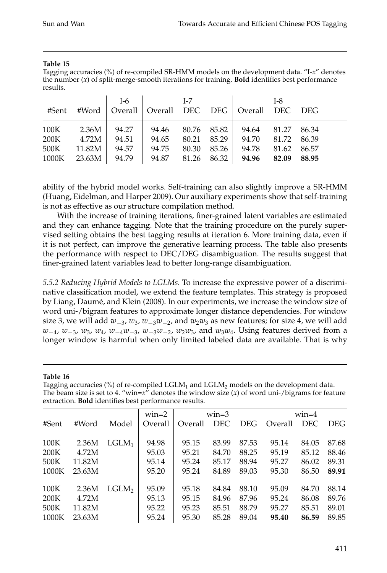## I-6 I-7 I-8 #Sent #Word | Overall | Overall | DEC | DEG | Overall | DEC | DEG 100K 2.36M 94.27 94.46 80.76 85.82 94.64 81.27 86.34 200K 4.72M 94.51 94.65 80.21 85.29 94.70 81.72 86.39 500K 11.82M 94.57 94.75 80.30 85.26 94.78 81.62 86.57 1000K 23.63M 94.79 94.87 81.26 86.32 **94.96 82.09 88.95**

#### **Table 15**

Tagging accuracies (%) of re-compiled SR-HMM models on the development data. "I-*x*" denotes the number (*x*) of split-merge-smooth iterations for training. **Bold** identifies best performance results.

ability of the hybrid model works. Self-training can also slightly improve a SR-HMM (Huang, Eidelman, and Harper 2009). Our auxiliary experiments show that self-training is not as effective as our structure compilation method.

With the increase of training iterations, finer-grained latent variables are estimated and they can enhance tagging. Note that the training procedure on the purely supervised setting obtains the best tagging results at iteration 6. More training data, even if it is not perfect, can improve the generative learning process. The table also presents the performance with respect to DEC/DEG disambiguation. The results suggest that finer-grained latent variables lead to better long-range disambiguation.

*5.5.2 Reducing Hybrid Models to LGLMs.* To increase the expressive power of a discriminative classification model, we extend the feature templates. This strategy is proposed by Liang, Daumé, and Klein (2008). In our experiments, we increase the window size of word uni-/bigram features to approximate longer distance dependencies. For window size 3, we will add  $w_{-3}$ ,  $w_3$ ,  $w_{-3}w_{-2}$ , and  $w_2w_3$  as new features; for size 4, we will add *w*−4, *w*−3, *w*<sub>3</sub>, *w*<sub>4</sub>, *w*−4*w*−3, *w*−3*w*−2, *w*<sub>2</sub>*w*<sub>3</sub>, and *w*<sub>3</sub>*w*<sub>4</sub>. Using features derived from a longer window is harmful when only limited labeled data are available. That is why

#### **Table 16**

| Tagging accuracies (%) of re-compiled LGLM <sub>1</sub> and LGLM <sub>2</sub> models on the development data. |
|---------------------------------------------------------------------------------------------------------------|
| The beam size is set to 4. "win= $x$ " denotes the window size $(x)$ of word uni-/bigrams for feature         |
| extraction. <b>Bold</b> identifies best performance results.                                                  |

|       |        |                   | $win=2$ |         | $win=3$    |       |         | $win=4$    |       |
|-------|--------|-------------------|---------|---------|------------|-------|---------|------------|-------|
| #Sent | #Word  | Model             | Overall | Overall | <b>DEC</b> | DEG.  | Overall | <b>DEC</b> | DEG.  |
| 100K  | 2.36M  | $LGLM_1$          | 94.98   | 95.15   | 83.99      | 87.53 | 95.14   | 84.05      | 87.68 |
| 200K  | 4.72M  |                   | 95.03   | 95.21   | 84.70      | 88.25 | 95.19   | 85.12      | 88.46 |
| 500K  | 11.82M |                   | 95.14   | 95.24   | 85.17      | 88.94 | 95.27   | 86.02      | 89.31 |
| 1000K | 23.63M |                   | 95.20   | 95.24   | 84.89      | 89.03 | 95.30   | 86.50      | 89.91 |
| 100K  | 2.36M  | LGLM <sub>2</sub> | 95.09   | 95.18   | 84.84      | 88.10 | 95.09   | 84.70      | 88.14 |
| 200K  | 4.72M  |                   | 95.13   | 95.15   | 84.96      | 87.96 | 95.24   | 86.08      | 89.76 |
| 500K  | 11.82M |                   | 95.22   | 95.23   | 85.51      | 88.79 | 95.27   | 85.51      | 89.01 |
| 1000K | 23.63M |                   | 95.24   | 95.30   | 85.28      | 89.04 | 95.40   | 86.59      | 89.85 |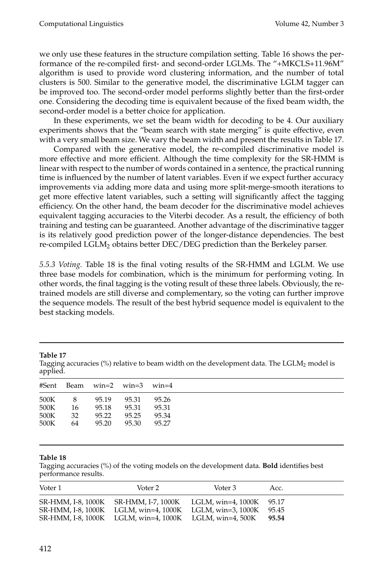we only use these features in the structure compilation setting. Table 16 shows the performance of the re-compiled first- and second-order LGLMs. The "+MKCLS+11.96M" algorithm is used to provide word clustering information, and the number of total clusters is 500. Similar to the generative model, the discriminative LGLM tagger can be improved too. The second-order model performs slightly better than the first-order one. Considering the decoding time is equivalent because of the fixed beam width, the second-order model is a better choice for application.

In these experiments, we set the beam width for decoding to be 4. Our auxiliary experiments shows that the "beam search with state merging" is quite effective, even with a very small beam size. We vary the beam width and present the results in Table 17.

Compared with the generative model, the re-compiled discriminative model is more effective and more efficient. Although the time complexity for the SR-HMM is linear with respect to the number of words contained in a sentence, the practical running time is influenced by the number of latent variables. Even if we expect further accuracy improvements via adding more data and using more split-merge-smooth iterations to get more effective latent variables, such a setting will significantly affect the tagging efficiency. On the other hand, the beam decoder for the discriminative model achieves equivalent tagging accuracies to the Viterbi decoder. As a result, the efficiency of both training and testing can be guaranteed. Another advantage of the discriminative tagger is its relatively good prediction power of the longer-distance dependencies. The best re-compiled LGLM<sub>2</sub> obtains better DEC/DEG prediction than the Berkeley parser.

*5.5.3 Voting.* Table 18 is the final voting results of the SR-HMM and LGLM. We use three base models for combination, which is the minimum for performing voting. In other words, the final tagging is the voting result of these three labels. Obviously, the retrained models are still diverse and complementary, so the voting can further improve the sequence models. The result of the best hybrid sequence model is equivalent to the best stacking models.

#### **Table 17**

| #Sent |    |       | Beam win=2 win=3 win=4 |       |
|-------|----|-------|------------------------|-------|
| 500K  | 8  | 95.19 | 95.31                  | 95.26 |
| 500K  | 16 | 95.18 | 95.31                  | 95.31 |
| 500K  | 32 | 95.22 | 95.25                  | 95.34 |
| 500K  | 64 | 95.20 | 95.30                  | 95.27 |

Tagging accuracies (%) relative to beam width on the development data. The LGLM<sub>2</sub> model is applied.

#### **Table 18**

Tagging accuracies (%) of the voting models on the development data. **Bold** identifies best performance results.

| Voter 1 | Voter 2                                                                                                             | Voter 3                                                        | Acc.           |
|---------|---------------------------------------------------------------------------------------------------------------------|----------------------------------------------------------------|----------------|
|         | SR-HMM, I-8, 1000K LGLM, win=4, 1000K LGLM, win=3, 1000K<br>SR-HMM, I-8, 1000K LGLM, win=4, 1000K LGLM, win=4, 500K | SR-HMM, I-8, 1000K SR-HMM, I-7, 1000K LGLM, win=4, 1000K 95.17 | 95.45<br>95.54 |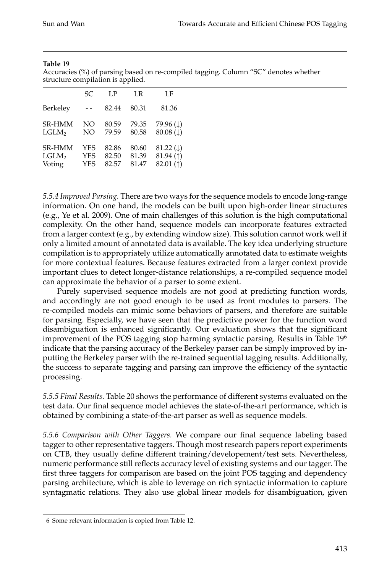|                                       | SC.               | LP                      | LR                      | LF                                                                |
|---------------------------------------|-------------------|-------------------------|-------------------------|-------------------------------------------------------------------|
| Berkeley -- 82.44                     |                   |                         | 80.31                   | 81.36                                                             |
| SR-HMM<br>LGLM <sub>2</sub>           | NO.<br>NO –       | 80.59<br>79.59          | 79.35<br>80.58          | 79.96 $( )$<br>80.08 $( )$                                        |
| SR-HMM<br>LGLM <sub>2</sub><br>Voting | YES<br>YES<br>YES | 82.86<br>82.50<br>82.57 | 80.60<br>81.39<br>81.47 | 81.22 $( )$<br>81.94 $($ $\uparrow$ )<br>82.01 $($ $\uparrow$ $)$ |

#### **Table 19**

Accuracies (%) of parsing based on re-compiled tagging. Column "SC" denotes whether structure compilation is applied.

*5.5.4 Improved Parsing.* There are two ways for the sequence models to encode long-range information. On one hand, the models can be built upon high-order linear structures (e.g., Ye et al. 2009). One of main challenges of this solution is the high computational complexity. On the other hand, sequence models can incorporate features extracted from a larger context (e.g., by extending window size). This solution cannot work well if only a limited amount of annotated data is available. The key idea underlying structure compilation is to appropriately utilize automatically annotated data to estimate weights for more contextual features. Because features extracted from a larger context provide important clues to detect longer-distance relationships, a re-compiled sequence model can approximate the behavior of a parser to some extent.

Purely supervised sequence models are not good at predicting function words, and accordingly are not good enough to be used as front modules to parsers. The re-compiled models can mimic some behaviors of parsers, and therefore are suitable for parsing. Especially, we have seen that the predictive power for the function word disambiguation is enhanced significantly. Our evaluation shows that the significant improvement of the POS tagging stop harming syntactic parsing. Results in Table 19<sup>6</sup> indicate that the parsing accuracy of the Berkeley parser can be simply improved by inputting the Berkeley parser with the re-trained sequential tagging results. Additionally, the success to separate tagging and parsing can improve the efficiency of the syntactic processing.

*5.5.5 Final Results.* Table 20 shows the performance of different systems evaluated on the test data. Our final sequence model achieves the state-of-the-art performance, which is obtained by combining a state-of-the-art parser as well as sequence models.

*5.5.6 Comparison with Other Taggers.* We compare our final sequence labeling based tagger to other representative taggers. Though most research papers report experiments on CTB, they usually define different training/developement/test sets. Nevertheless, numeric performance still reflects accuracy level of existing systems and our tagger. The first three taggers for comparison are based on the joint POS tagging and dependency parsing architecture, which is able to leverage on rich syntactic information to capture syntagmatic relations. They also use global linear models for disambiguation, given

<sup>6</sup> Some relevant information is copied from Table 12.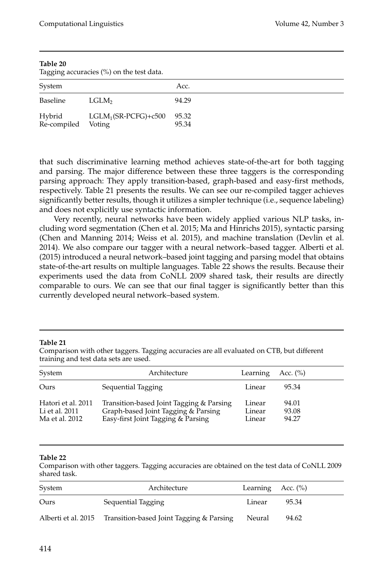| Table 20                                            |  |  |
|-----------------------------------------------------|--|--|
| Tagging accuracies $\binom{0}{0}$ on the test data. |  |  |

| UU U                  |                                  |                |
|-----------------------|----------------------------------|----------------|
| System                |                                  | Acc.           |
| Baseline              | LGLM <sub>2</sub>                | 94.29          |
| Hybrid<br>Re-compiled | $LGLM_1(SR-PCFG)+c500$<br>Voting | 95.32<br>95.34 |

that such discriminative learning method achieves state-of-the-art for both tagging and parsing. The major difference between these three taggers is the corresponding parsing approach: They apply transition-based, graph-based and easy-first methods, respectively. Table 21 presents the results. We can see our re-compiled tagger achieves significantly better results, though it utilizes a simpler technique (i.e., sequence labeling) and does not explicitly use syntactic information.

Very recently, neural networks have been widely applied various NLP tasks, including word segmentation (Chen et al. 2015; Ma and Hinrichs 2015), syntactic parsing (Chen and Manning 2014; Weiss et al. 2015), and machine translation (Devlin et al. 2014). We also compare our tagger with a neural network–based tagger. Alberti et al. (2015) introduced a neural network–based joint tagging and parsing model that obtains state-of-the-art results on multiple languages. Table 22 shows the results. Because their experiments used the data from CoNLL 2009 shared task, their results are directly comparable to ours. We can see that our final tagger is significantly better than this currently developed neural network–based system.

#### **Table 21**

Comparison with other taggers. Tagging accuracies are all evaluated on CTB, but different training and test data sets are used.

| System                                                 | Architecture                                                                                                          | Learning                   | Acc. $(\% )$            |
|--------------------------------------------------------|-----------------------------------------------------------------------------------------------------------------------|----------------------------|-------------------------|
| Ours                                                   | Sequential Tagging                                                                                                    | Linear                     | 95.34                   |
| Hatori et al. 2011<br>Li et al. 2011<br>Ma et al. 2012 | Transition-based Joint Tagging & Parsing<br>Graph-based Joint Tagging & Parsing<br>Easy-first Joint Tagging & Parsing | Linear<br>Linear<br>Linear | 94.01<br>93.08<br>94.27 |

#### **Table 22**

Comparison with other taggers. Tagging accuracies are obtained on the test data of CoNLL 2009 shared task.

| System | Architecture                                                 | Learning Acc. $(\% )$ |       |
|--------|--------------------------------------------------------------|-----------------------|-------|
| Ours   | Sequential Tagging                                           | Linear                | 95.34 |
|        | Alberti et al. 2015 Transition-based Joint Tagging & Parsing | Neural                | 94.62 |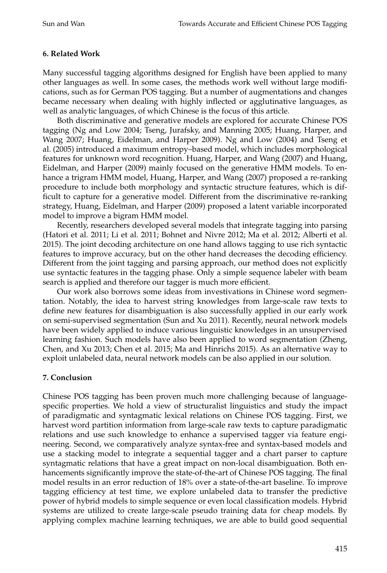#### **6. Related Work**

Many successful tagging algorithms designed for English have been applied to many other languages as well. In some cases, the methods work well without large modifications, such as for German POS tagging. But a number of augmentations and changes became necessary when dealing with highly inflected or agglutinative languages, as well as analytic languages, of which Chinese is the focus of this article.

Both discriminative and generative models are explored for accurate Chinese POS tagging (Ng and Low 2004; Tseng, Jurafsky, and Manning 2005; Huang, Harper, and Wang 2007; Huang, Eidelman, and Harper 2009). Ng and Low (2004) and Tseng et al. (2005) introduced a maximum entropy–based model, which includes morphological features for unknown word recognition. Huang, Harper, and Wang (2007) and Huang, Eidelman, and Harper (2009) mainly focused on the generative HMM models. To enhance a trigram HMM model, Huang, Harper, and Wang (2007) proposed a re-ranking procedure to include both morphology and syntactic structure features, which is difficult to capture for a generative model. Different from the discriminative re-ranking strategy, Huang, Eidelman, and Harper (2009) proposed a latent variable incorporated model to improve a bigram HMM model.

Recently, researchers developed several models that integrate tagging into parsing (Hatori et al. 2011; Li et al. 2011; Bohnet and Nivre 2012; Ma et al. 2012; Alberti et al. 2015). The joint decoding architecture on one hand allows tagging to use rich syntactic features to improve accuracy, but on the other hand decreases the decoding efficiency. Different from the joint tagging and parsing approach, our method does not explicitly use syntactic features in the tagging phase. Only a simple sequence labeler with beam search is applied and therefore our tagger is much more efficient.

Our work also borrows some ideas from investivations in Chinese word segmentation. Notably, the idea to harvest string knowledges from large-scale raw texts to define new features for disambiguation is also successfully applied in our early work on semi-supervised segmentation (Sun and Xu 2011). Recently, neural network models have been widely applied to induce various linguistic knowledges in an unsupervised learning fashion. Such models have also been applied to word segmentation (Zheng, Chen, and Xu 2013; Chen et al. 2015; Ma and Hinrichs 2015). As an alternative way to exploit unlabeled data, neural network models can be also applied in our solution.

#### **7. Conclusion**

Chinese POS tagging has been proven much more challenging because of languagespecific properties. We hold a view of structuralist linguistics and study the impact of paradigmatic and syntagmatic lexical relations on Chinese POS tagging. First, we harvest word partition information from large-scale raw texts to capture paradigmatic relations and use such knowledge to enhance a supervised tagger via feature engineering. Second, we comparatively analyze syntax-free and syntax-based models and use a stacking model to integrate a sequential tagger and a chart parser to capture syntagmatic relations that have a great impact on non-local disambiguation. Both enhancements significantly improve the state-of-the-art of Chinese POS tagging. The final model results in an error reduction of 18% over a state-of-the-art baseline. To improve tagging efficiency at test time, we explore unlabeled data to transfer the predictive power of hybrid models to simple sequence or even local classification models. Hybrid systems are utilized to create large-scale pseudo training data for cheap models. By applying complex machine learning techniques, we are able to build good sequential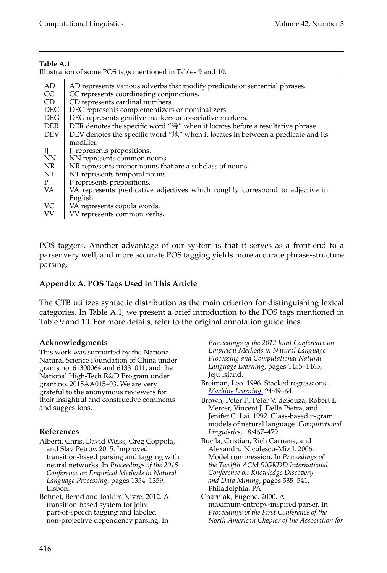#### **Table A.1**

Illustration of some POS tags mentioned in Tables 9 and 10.

| AD         | AD represents various adverbs that modify predicate or sentential phrases.       |
|------------|----------------------------------------------------------------------------------|
| CC         | CC represents coordinating conjunctions.                                         |
| CD.        | CD represents cardinal numbers.                                                  |
| <b>DEC</b> | DEC represents complementizers or nominalizers.                                  |
| <b>DEG</b> | DEG represents genitive markers or associative markers.                          |
| <b>DER</b> | DER denotes the specific word "得" when it locates before a resultative phrase.   |
| <b>DEV</b> | DEV denotes the specific word "地" when it locates in between a predicate and its |
|            | modifier.                                                                        |
| IJ         | II represents prepositions.                                                      |
| <b>NN</b>  | NN represents common nouns.                                                      |
| NR.        | NR represents proper nouns that are a subclass of nouns.                         |
| NT         | NT represents temporal nouns.                                                    |
| P          | P represents prepositions.                                                       |
| VA         | VA represents predicative adjectives which roughly correspond to adjective in    |
|            | English.                                                                         |
| VC.        | VA represents copula words.                                                      |
| <b>VV</b>  | VV represents common verbs.                                                      |

POS taggers. Another advantage of our system is that it serves as a front-end to a parser very well, and more accurate POS tagging yields more accurate phrase-structure parsing.

#### **Appendix A. POS Tags Used in This Article**

The CTB utilizes syntactic distribution as the main criterion for distinguishing lexical categories. In Table A.1, we present a brief introduction to the POS tags mentioned in Table 9 and 10. For more details, refer to the original annotation guidelines.

#### **Acknowledgments**

This work was supported by the National Natural Science Foundation of China under grants no. 61300064 and 61331011, and the National High-Tech R&D Program under grant no. 2015AA015403. We are very grateful to the anonymous reviewers for their insightful and constructive comments and suggestions.

#### **References**

- Alberti, Chris, David Weiss, Greg Coppola, and Slav Petrov. 2015. Improved transition-based parsing and tagging with neural networks. In *Proceedings of the 2015 Conference on Empirical Methods in Natural Language Processing*, pages 1354–1359, Lisbon.
- Bohnet, Bernd and Joakim Nivre. 2012. A transition-based system for joint part-of-speech tagging and labeled non-projective dependency parsing. In

*Proceedings of the 2012 Joint Conference on Empirical Methods in Natural Language Processing and Computational Natural Language Learning*, pages 1455–1465, Jeju Island.

- Breiman, Leo. 1996. Stacked regressions. *[Machine Learning](http://www.mitpressjournals.org/action/showLinks?crossref=10.1007%2FBF00117832)*, 24:49–64.
- Brown, Peter F., Peter V. deSouza, Robert L. Mercer, Vincent J. Della Pietra, and Jenifer C. Lai. 1992. Class-based *n*-gram models of natural language. *Computational Linguistics*, 18:467–479.
- Bucila, Cristian, Rich Caruana, and Alexandru Niculescu-Mizil. 2006. Model compression. In *Proceedings of the Twelfth ACM SIGKDD International Conference on Knowledge Discovery and Data Mining*, pages 535–541, Philadelphia, PA.
- Charniak, Eugene. 2000. A maximum-entropy-inspired parser. In *Proceedings of the First Conference of the North American Chapter of the Association for*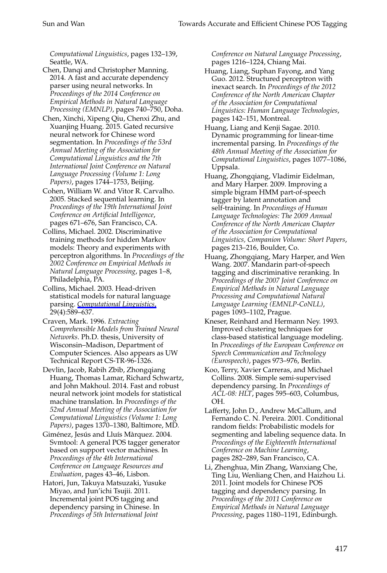*Computational Linguistics*, pages 132–139, Seattle, WA.

- Chen, Danqi and Christopher Manning. 2014. A fast and accurate dependency parser using neural networks. In *Proceedings of the 2014 Conference on Empirical Methods in Natural Language Processing (EMNLP)*, pages 740–750, Doha.
- Chen, Xinchi, Xipeng Qiu, Chenxi Zhu, and Xuanjing Huang. 2015. Gated recursive neural network for Chinese word segmentation. In *Proceedings of the 53rd Annual Meeting of the Association for Computational Linguistics and the 7th International Joint Conference on Natural Language Processing (Volume 1: Long Papers)*, pages 1744–1753, Beijing.
- Cohen, William W. and Vitor R. Carvalho. 2005. Stacked sequential learning. In *Proceedings of the 19th International Joint Conference on Artificial Intelligence*, pages 671–676, San Francisco, CA.
- Collins, Michael. 2002. Discriminative training methods for hidden Markov models: Theory and experiments with perceptron algorithms. In *Proceedings of the 2002 Conference on Empirical Methods in Natural Language Processing*, pages 1–8, Philadelphia, PA.
- Collins, Michael. 2003. Head-driven statistical models for natural language parsing. *[Computational Linguistics](http://www.mitpressjournals.org/action/showLinks?system=10.1162%2F089120103322753356)*,  $29(4):589-637.$
- Craven, Mark. 1996. *Extracting Comprehensible Models from Trained Neural Networks*. Ph.D. thesis, University of Wisconsin–Madison, Department of Computer Sciences. Also appears as UW Technical Report CS-TR-96-1326.
- Devlin, Jacob, Rabih Zbib, Zhongqiang Huang, Thomas Lamar, Richard Schwartz, and John Makhoul. 2014. Fast and robust neural network joint models for statistical machine translation. In *Proceedings of the 52nd Annual Meeting of the Association for Computational Linguistics (Volume 1: Long Papers)*, pages 1370–1380, Baltimore, MD.
- Giménez, Jesús and Lluís Màrquez. 2004. Svmtool: A general POS tagger generator based on support vector machines. In *Proceedings of the 4th International Conference on Language Resources and Evaluation*, pages 43–46, Lisbon.
- Hatori, Jun, Takuya Matsuzaki, Yusuke Miyao, and Jun'ichi Tsujii. 2011. Incremental joint POS tagging and dependency parsing in Chinese. In *Proceedings of 5th International Joint*

*Conference on Natural Language Processing*, pages 1216–1224, Chiang Mai.

- Huang, Liang, Suphan Fayong, and Yang Guo. 2012. Structured perceptron with inexact search. In *Proceedings of the 2012 Conference of the North American Chapter of the Association for Computational Linguistics: Human Language Technologies*, pages 142–151, Montreal.
- Huang, Liang and Kenji Sagae. 2010. Dynamic programming for linear-time incremental parsing. In *Proceedings of the 48th Annual Meeting of the Association for Computational Linguistics*, pages 1077–1086, Uppsala.
- Huang, Zhongqiang, Vladimir Eidelman, and Mary Harper. 2009. Improving a simple bigram HMM part-of-speech tagger by latent annotation and self-training. In *Proceedings of Human Language Technologies: The 2009 Annual Conference of the North American Chapter of the Association for Computational Linguistics, Companion Volume: Short Papers*, pages 213–216, Boulder, Co.
- Huang, Zhongqiang, Mary Harper, and Wen Wang. 2007. Mandarin part-of-speech tagging and discriminative reranking. In *Proceedings of the 2007 Joint Conference on Empirical Methods in Natural Language Processing and Computational Natural Language Learning (EMNLP-CoNLL)*, pages 1093–1102, Prague.
- Kneser, Reinhard and Hermann Ney. 1993. Improved clustering techniques for class-based statistical language modeling. In *Proceedings of the European Conference on Speech Communication and Technology (Eurospeech)*, pages 973–976, Berlin.
- Koo, Terry, Xavier Carreras, and Michael Collins. 2008. Simple semi-supervised dependency parsing. In *Proceedings of ACL-08: HLT*, pages 595–603, Columbus, OH.
- Lafferty, John D., Andrew McCallum, and Fernando C. N. Pereira. 2001. Conditional random fields: Probabilistic models for segmenting and labeling sequence data. In *Proceedings of the Eighteenth International Conference on Machine Learning*, pages 282–289, San Francisco, CA.
- Li, Zhenghua, Min Zhang, Wanxiang Che, Ting Liu, Wenliang Chen, and Haizhou Li. 2011. Joint models for Chinese POS tagging and dependency parsing. In *Proceedings of the 2011 Conference on Empirical Methods in Natural Language Processing*, pages 1180–1191, Edinburgh.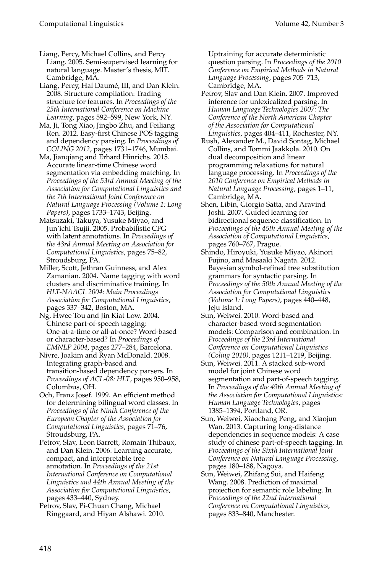- Liang, Percy, Michael Collins, and Percy Liang. 2005. Semi-supervised learning for natural language. Master's thesis, MIT. Cambridge, MA.
- Liang, Percy, Hal Daumé, III, and Dan Klein. 2008. Structure compilation: Trading structure for features. In *Proceedings of the 25th International Conference on Machine Learning*, pages 592–599, New York, NY.
- Ma, Ji, Tong Xiao, Jingbo Zhu, and Feiliang Ren. 2012. Easy-first Chinese POS tagging and dependency parsing. In *Proceedings of COLING 2012*, pages 1731–1746, Mumbai.
- Ma, Jianqiang and Erhard Hinrichs. 2015. Accurate linear-time Chinese word segmentation via embedding matching. In *Proceedings of the 53rd Annual Meeting of the Association for Computational Linguistics and the 7th International Joint Conference on Natural Language Processing (Volume 1: Long Papers)*, pages 1733–1743, Beijing.
- Matsuzaki, Takuya, Yusuke Miyao, and Jun'ichi Tsujii. 2005. Probabilistic CFG with latent annotations. In *Proceedings of the 43rd Annual Meeting on Association for Computational Linguistics*, pages 75–82, Stroudsburg, PA.
- Miller, Scott, Jethran Guinness, and Alex Zamanian. 2004. Name tagging with word clusters and discriminative training. In *HLT-NAACL 2004: Main Proceedings Association for Computational Linguistics*, pages 337–342, Boston, MA.
- Ng, Hwee Tou and Jin Kiat Low. 2004. Chinese part-of-speech tagging: One-at-a-time or all-at-once? Word-based or character-based? In *Proceedings of EMNLP 2004*, pages 277–284, Barcelona.
- Nivre, Joakim and Ryan McDonald. 2008. Integrating graph-based and transition-based dependency parsers. In *Proceedings of ACL-08: HLT*, pages 950–958, Columbus, OH.
- Och, Franz Josef. 1999. An efficient method for determining bilingual word classes. In *Proceedings of the Ninth Conference of the European Chapter of the Association for Computational Linguistics*, pages 71–76, Stroudsburg, PA.
- Petrov, Slav, Leon Barrett, Romain Thibaux, and Dan Klein. 2006. Learning accurate, compact, and interpretable tree annotation. In *Proceedings of the 21st International Conference on Computational Linguistics and 44th Annual Meeting of the Association for Computational Linguistics*, pages 433–440, Sydney.
- Petrov, Slav, Pi-Chuan Chang, Michael Ringgaard, and Hiyan Alshawi. 2010.

Uptraining for accurate deterministic question parsing. In *Proceedings of the 2010 Conference on Empirical Methods in Natural Language Processing*, pages 705–713, Cambridge, MA.

- Petrov, Slav and Dan Klein. 2007. Improved inference for unlexicalized parsing. In *Human Language Technologies 2007: The Conference of the North American Chapter of the Association for Computational Linguistics*, pages 404–411, Rochester, NY.
- Rush, Alexander M., David Sontag, Michael Collins, and Tommi Jaakkola. 2010. On dual decomposition and linear programming relaxations for natural language processing. In *Proceedings of the 2010 Conference on Empirical Methods in Natural Language Processing*, pages 1–11, Cambridge, MA.
- Shen, Libin, Giorgio Satta, and Aravind Joshi. 2007. Guided learning for bidirectional sequence classification. In *Proceedings of the 45th Annual Meeting of the Association of Computational Linguistics*, pages 760–767, Prague.
- Shindo, Hiroyuki, Yusuke Miyao, Akinori Fujino, and Masaaki Nagata. 2012. Bayesian symbol-refined tree substitution grammars for syntactic parsing. In *Proceedings of the 50th Annual Meeting of the Association for Computational Linguistics (Volume 1: Long Papers)*, pages 440–448, Jeju Island.
- Sun, Weiwei. 2010. Word-based and character-based word segmentation models: Comparison and combination. In *Proceedings of the 23rd International Conference on Computational Linguistics (Coling 2010)*, pages 1211–1219, Beijing.
- Sun, Weiwei. 2011. A stacked sub-word model for joint Chinese word segmentation and part-of-speech tagging. In *Proceedings of the 49th Annual Meeting of the Association for Computational Linguistics: Human Language Technologies*, pages 1385–1394, Portland, OR.
- Sun, Weiwei, Xiaochang Peng, and Xiaojun Wan. 2013. Capturing long-distance dependencies in sequence models: A case study of chinese part-of-speech tagging. In *Proceedings of the Sixth International Joint Conference on Natural Language Processing*, pages 180–188, Nagoya.
- Sun, Weiwei, Zhifang Sui, and Haifeng Wang. 2008. Prediction of maximal projection for semantic role labeling. In *Proceedings of the 22nd International Conference on Computational Linguistics*, pages 833–840, Manchester.